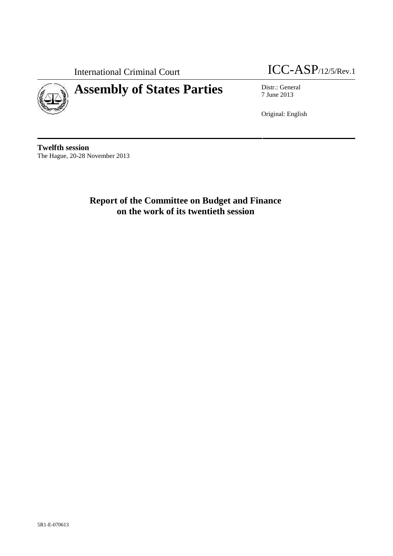

# **Assembly of States Parties** Distr.: General

International Criminal Court **ICC-ASP**/12/5/Rev.1

7 June 2013

Original: English

**Twelfth session** The Hague, 20-28 November 2013

> **Report of the Committee on Budget and Finance on the work of its twentieth session**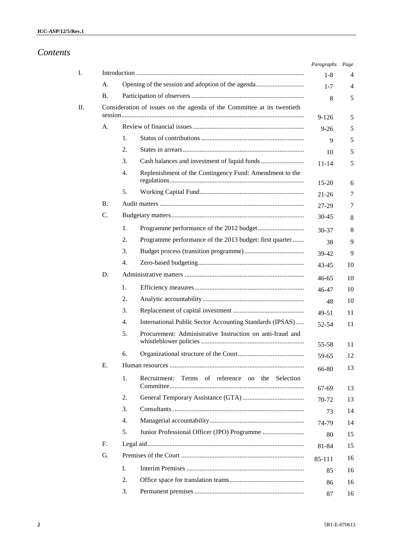|                |    |                                                                         | Paragraphs     | Page     |
|----------------|----|-------------------------------------------------------------------------|----------------|----------|
|                |    |                                                                         | $1 - 8$        | 4        |
| A.             |    |                                                                         | $1 - 7$        | 4        |
| Β.             |    |                                                                         | 8              | 5        |
|                |    | Consideration of issues on the agenda of the Committee at its twentieth | $9 - 126$      | 5        |
| А.             |    |                                                                         | $9 - 26$       | 5        |
|                | 1. |                                                                         | 9              | 5        |
|                | 2. |                                                                         | 10             | 5        |
|                | 3. |                                                                         | $11 - 14$      | 5        |
|                | 4. | Replenishment of the Contingency Fund: Amendment to the                 | $15 - 20$      | 6        |
|                | 5. |                                                                         | $21 - 26$      | 7        |
| <b>B.</b>      |    |                                                                         | 27-29          | 7        |
| C.             |    |                                                                         | $30 - 45$      | 8        |
|                | 1. |                                                                         |                | 8        |
|                | 2. | Programme performance of the 2013 budget: first quarter                 | $30 - 37$      | 9        |
|                | 3. |                                                                         | 38<br>39-42    | 9        |
|                | 4. |                                                                         | 43-45          | 10       |
| D.             |    |                                                                         |                |          |
|                | 1. |                                                                         | 46-65          | 10       |
|                | 2. |                                                                         | 46-47          | 10       |
|                | 3. |                                                                         | 48             | 10<br>11 |
|                | 4. | International Public Sector Accounting Standards (IPSAS)                | 49-51<br>52-54 | 11       |
|                | 5. | Procurement: Administrative Instruction on anti-fraud and               |                |          |
|                | 6. |                                                                         | 55-58          | 11       |
| Е.             |    |                                                                         | 59-65          | 12       |
|                | 1. | Terms of reference on the Selection<br>Recruitment:                     | 66-80          | 13       |
|                |    |                                                                         | 67-69          | 13       |
|                | 2. |                                                                         | $70-72$        | 13       |
|                | 3. |                                                                         | 73             | 14       |
|                | 4. |                                                                         | 74-79          | 14       |
|                | 5. |                                                                         | 80             | 15       |
| F <sub>r</sub> |    |                                                                         | 81-84          | 15       |
| G.             |    |                                                                         | 85-111         | 16       |
|                | 1. |                                                                         | 85             | 16       |
|                | 2. |                                                                         | 86             | 16       |
|                | 3. |                                                                         | 87             | 16       |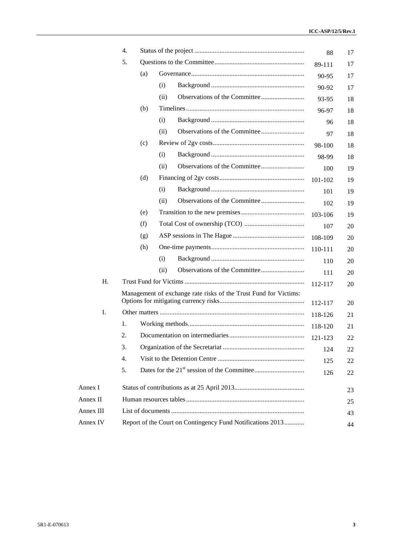|           | 4.               |     |      |                                                                  | 88      | 17 |
|-----------|------------------|-----|------|------------------------------------------------------------------|---------|----|
|           | 5.               |     |      |                                                                  | 89-111  | 17 |
|           |                  | (a) |      |                                                                  | 90-95   | 17 |
|           |                  |     | (i)  |                                                                  | 90-92   | 17 |
|           |                  |     | (ii) |                                                                  | 93-95   | 18 |
|           |                  | (b) |      |                                                                  | 96-97   | 18 |
|           |                  |     | (i)  |                                                                  | 96      | 18 |
|           |                  |     | (ii) |                                                                  | 97      | 18 |
|           |                  | (c) |      |                                                                  | 98-100  | 18 |
|           |                  |     | (i)  |                                                                  | 98-99   | 18 |
|           |                  |     | (ii) |                                                                  | 100     | 19 |
|           |                  | (d) |      |                                                                  | 101-102 | 19 |
|           |                  |     | (i)  |                                                                  | 101     | 19 |
|           |                  |     | (ii) |                                                                  | 102     | 19 |
|           |                  | (e) |      |                                                                  | 103-106 | 19 |
|           |                  | (f) |      |                                                                  | 107     | 20 |
|           |                  | (g) |      |                                                                  | 108-109 | 20 |
|           |                  | (h) |      |                                                                  | 110-111 | 20 |
|           |                  |     | (i)  |                                                                  | 110     | 20 |
|           |                  |     | (ii) |                                                                  | 111     | 20 |
| H.        |                  |     |      |                                                                  | 112-117 | 20 |
|           |                  |     |      | Management of exchange rate risks of the Trust Fund for Victims: |         |    |
|           |                  |     |      |                                                                  | 112-117 | 20 |
| Ι.        |                  |     |      |                                                                  | 118-126 | 21 |
|           | 1.               |     |      |                                                                  | 118-120 | 21 |
|           | 2.               |     |      |                                                                  | 121-123 | 22 |
|           | 3.               |     |      |                                                                  | 124     | 22 |
|           | $\overline{4}$ . |     |      |                                                                  | 125     | 22 |
|           | 5.               |     |      |                                                                  | 126     | 22 |
| Annex I   |                  |     |      |                                                                  |         | 23 |
| Annex II  |                  |     |      |                                                                  |         | 25 |
| Annex III |                  |     |      |                                                                  |         | 43 |
| Annex IV  |                  |     |      | Report of the Court on Contingency Fund Notifications 2013       |         | 44 |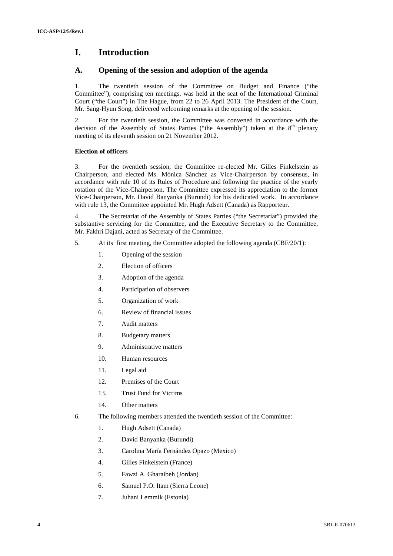# **I. Introduction**

### **A. Opening of the session and adoption of the agenda**

1. The twentieth session of the Committee on Budget and Finance ("the Committee"), comprising ten meetings, was held at the seat of the International Criminal Court ("the Court") in The Hague, from 22 to 26 April 2013. The President of the Court, Mr. Sang-Hyun Song, delivered welcoming remarks at the opening of the session.

2. For the twentieth session, the Committee was convened in accordance with the decision of the Assembly of States Parties ("the Assembly") taken at the  $8<sup>th</sup>$  plenary meeting of its eleventh session on 21 November 2012.

#### **Election of officers**

3. For the twentieth session, the Committee re-elected Mr. Gilles Finkelstein as Chairperson, and elected Ms. Mónica Sánchez as Vice-Chairperson by consensus, in accordance with rule 10 of its Rules of Procedure and following the practice of the yearly rotation of the Vice-Chairperson. The Committee expressed its appreciation to the former Vice-Chairperson, Mr. David Banyanka (Burundi) for his dedicated work. In accordance with rule 13, the Committee appointed Mr. Hugh Adsett (Canada) as Rapporteur.

4. The Secretariat of the Assembly of States Parties ("the Secretariat") provided the substantive servicing for the Committee, and the Executive Secretary to the Committee, Mr. Fakhri Dajani, acted as Secretary of the Committee.

- 5. At its first meeting, the Committee adopted the following agenda (CBF/20/1):
	- 1. Opening of the session
	- 2. Election of officers
	- 3. Adoption of the agenda
	- 4. Participation of observers
	- 5. Organization of work
	- 6. Review of financial issues
	- 7. Audit matters
	- 8. Budgetary matters
	- 9. Administrative matters
	- 10. Human resources
	- 11. Legal aid
	- 12. Premises of the Court
	- 13. Trust Fund for Victims
	- 14. Other matters
- 6. The following members attended the twentieth session of the Committee:
	- 1. Hugh Adsett (Canada)
	- 2. David Banyanka (Burundi)
	- 3. Carolina María Fernández Opazo (Mexico)
	- 4. Gilles Finkelstein (France)
	- 5. Fawzi A. Gharaibeh (Jordan)
	- 6. Samuel P.O. Itam (Sierra Leone)
	- 7. Juhani Lemmik (Estonia)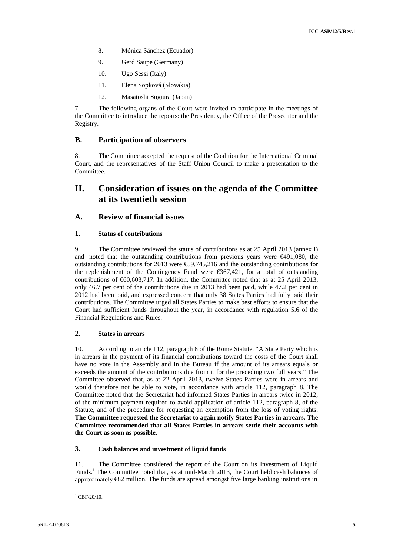- 8. Mónica Sánchez (Ecuador)
- 9. Gerd Saupe (Germany)
- 10. Ugo Sessi (Italy)
- 11. Elena Sopková (Slovakia)
- 12. Masatoshi Sugiura (Japan)

7. The following organs of the Court were invited to participate in the meetings of the Committee to introduce the reports: the Presidency, the Office of the Prosecutor and the Registry.

#### **B. Participation of observers**

8. The Committee accepted the request of the Coalition for the International Criminal Court, and the representatives of the Staff Union Council to make a presentation to the Committee.

## **II. Consideration of issues on the agenda of the Committee at its twentieth session**

#### **A. Review of financial issues**

#### **1. Status of contributions**

9. The Committee reviewed the status of contributions as at 25 April 2013 (annex I) and noted that the outstanding contributions from previous years were €491,080, the outstanding contributions for 2013 were  $\epsilon$  59,745,216 and the outstanding contributions for the replenishment of the Contingency Fund were  $\epsilon$ 667,421, for a total of outstanding contributions of  $\epsilon$ 60,603,717. In addition, the Committee noted that as at 25 April 2013, only 46.7 per cent of the contributions due in 2013 had been paid, while 47.2 per cent in 2012 had been paid, and expressed concern that only 38 States Parties had fully paid their contributions. The Committee urged all States Parties to make best efforts to ensure that the Court had sufficient funds throughout the year, in accordance with regulation 5.6 of the Financial Regulations and Rules.

#### **2. States in arrears**

10. According to article 112, paragraph 8 of the Rome Statute, "A State Party which is in arrears in the payment of its financial contributions toward the costs of the Court shall have no vote in the Assembly and in the Bureau if the amount of its arrears equals or exceeds the amount of the contributions due from it for the preceding two full years." The Committee observed that, as at 22 April 2013, twelve States Parties were in arrears and would therefore not be able to vote, in accordance with article 112, paragraph 8. The Committee noted that the Secretariat had informed States Parties in arrears twice in 2012, of the minimum payment required to avoid application of article 112, paragraph 8, of the Statute, and of the procedure for requesting an exemption from the loss of voting rights. **The Committee requested the Secretariat to again notify States Parties in arrears. The Committee recommended that all States Parties in arrears settle their accounts with the Court as soon as possible.**

#### **3. Cash balances and investment of liquid funds**

11. The Committee considered the report of the Court on its Investment of Liquid Funds.<sup>1</sup> The Committee noted that, as at mid-March 2013, the Court held cash balances of approximately €82 million. The funds are spread amongst five large banking institutions in

 $^{1}$  CBF/20/10.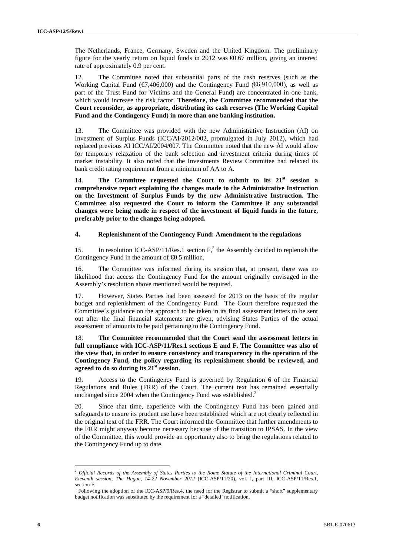The Netherlands, France, Germany, Sweden and the United Kingdom. The preliminary figure for the yearly return on liquid funds in 2012 was  $\Theta$ .67 million, giving an interest rate of approximately 0.9 per cent.

12. The Committee noted that substantial parts of the cash reserves (such as the Working Capital Fund ( $\epsilon$ 7,406,000) and the Contingency Fund ( $\epsilon$ 6,910,000), as well as part of the Trust Fund for Victims and the General Fund) are concentrated in one bank, which would increase the risk factor. **Therefore, the Committee recommended that the Court reconsider, as appropriate, distributing its cash reserves (The Working Capital Fund and the Contingency Fund) in more than one banking institution.**

13. The Committee was provided with the new Administrative Instruction (AI) on Investment of Surplus Funds (ICC/AI/2012/002, promulgated in July 2012), which had replaced previous AI ICC/AI/2004/007. The Committee noted that the new AI would allow for temporary relaxation of the bank selection and investment criteria during times of market instability. It also noted that the Investments Review Committee had relaxed its bank credit rating requirement from a minimum of AA to A.

14. **The Committee requested the Court to submit to its 21st session a comprehensive report explaining the changes made to the Administrative Instruction on the Investment of Surplus Funds by the new Administrative Instruction. The Committee also requested the Court to inform the Committee if any substantial changes were being made in respect of the investment of liquid funds in the future, preferably prior to the changes being adopted.**

#### **4. Replenishment of the Contingency Fund: Amendment to the regulations**

15. In resolution ICC-ASP/11/Res.1 section  $F<sub>1</sub><sup>2</sup>$  the Assembly decided to replenish the Contingency Fund in the amount of  $\epsilon$ 0.5 million.

16. The Committee was informed during its session that, at present, there was no likelihood that access the Contingency Fund for the amount originally envisaged in the Assembly's resolution above mentioned would be required.

17. However, States Parties had been assessed for 2013 on the basis of the regular budget and replenishment of the Contingency Fund. The Court therefore requested the Committee´s guidance on the approach to be taken in its final assessment letters to be sent out after the final financial statements are given, advising States Parties of the actual assessment of amounts to be paid pertaining to the Contingency Fund.

18. **The Committee recommended that the Court send the assessment letters in full compliance with ICC-ASP/11/Res.1 sections E and F. The Committee was also of the view that, in order to ensure consistency and transparency in the operation of the Contingency Fund, the policy regarding its replenishment should be reviewed, and agreed to do so during its 21st session.**

19. Access to the Contingency Fund is governed by Regulation 6 of the Financial Regulations and Rules (FRR) of the Court. The current text has remained essentially unchanged since 2004 when the Contingency Fund was established.<sup>3</sup>

20. Since that time, experience with the Contingency Fund has been gained and safeguards to ensure its prudent use have been established which are not clearly reflected in the original text of the FRR. The Court informed the Committee that further amendments to the FRR might anyway become necessary because of the transition to IPSAS. In the view of the Committee, this would provide an opportunity also to bring the regulations related to the Contingency Fund up to date.

<sup>2</sup> *Official Records of the Assembly of States Parties to the Rome Statute of the International Criminal Court, Eleventh session, The Hague, 14-22 November 2012* (ICC-ASP/11/20), vol. I, part III, ICC-ASP/11/Res.1, section F.

<sup>&</sup>lt;sup>3</sup> Following the adoption of the ICC-ASP/9/Res.4. the need for the Registrar to submit a "short" supplementary budget notification was substituted by the requirement for a "detailed' notification.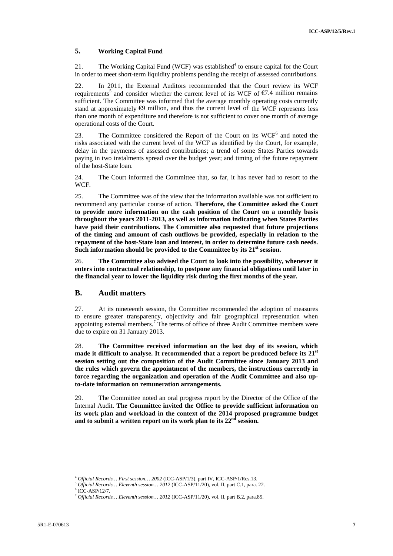### **5. Working Capital Fund**

21. The Working Capital Fund (WCF) was established<sup>4</sup> to ensure capital for the Court in order to meet short-term liquidity problems pending the receipt of assessed contributions.

22. In 2011, the External Auditors recommended that the Court review its WCF requirements<sup>5</sup> and consider whether the current level of its WCF of  $\epsilon$ 7.4 million remains sufficient. The Committee was informed that the average monthly operating costs currently stand at approximately  $\Theta$  million, and thus the current level of the WCF represents less than one month of expenditure and therefore is not sufficient to cover one month of average operational costs of the Court.

23. The Committee considered the Report of the Court on its  $WCF<sup>6</sup>$  and noted the risks associated with the current level of the WCF as identified by the Court, for example, delay in the payments of assessed contributions; a trend of some States Parties towards paying in two instalments spread over the budget year; and timing of the future repayment of the host-State loan.

24. The Court informed the Committee that, so far, it has never had to resort to the WCF.

25. The Committee was of the view that the information available was not sufficient to recommend any particular course of action. **Therefore, the Committee asked the Court to provide more information on the cash position of the Court on a monthly basis throughout the years 2011-2013, as well as information indicating when States Parties have paid their contributions. The Committee also requested that future projections of the timing and amount of cash outflows be provided, especially in relation to the repayment of the host-State loan and interest, in order to determine future cash needs. Such information should be provided to the Committee by its 21st session.**

26. **The Committee also advised the Court to look into the possibility, whenever it enters into contractual relationship, to postpone any financial obligations until later in the financial year to lower the liquidity risk during the first months of the year.**

#### **B. Audit matters**

27. At its nineteenth session, the Committee recommended the adoption of measures to ensure greater transparency, objectivity and fair geographical representation when appointing external members.<sup>7</sup> The terms of office of three Audit Committee members were due to expire on 31 January 2013.

28. **The Committee received information on the last day of its session, which made it difficult to analyse. It recommended that a report be produced before its 21st session setting out the composition of the Audit Committee since January 2013 and the rules which govern the appointment of the members, the instructions currently in force regarding the organization and operation of the Audit Committee and also upto-date information on remuneration arrangements.**

29. The Committee noted an oral progress report by the Director of the Office of the Internal Audit. **The Committee invited the Office to provide sufficient information on its work plan and workload in the context of the 2014 proposed programme budget and to submit a written report on its work plan to its 22nd session.**

<sup>&</sup>lt;sup>4</sup> Official Records... First session... 2002 (ICC-ASP/1/3), part IV, ICC-ASP/1/Res.13.<br><sup>5</sup> Official Records... Eleventh session... 2012 (ICC-ASP/11/20), vol. II, part C.1, para. 22.<br><sup>6</sup> ICC-ASP/12/7.<br><sup>7</sup> Official Records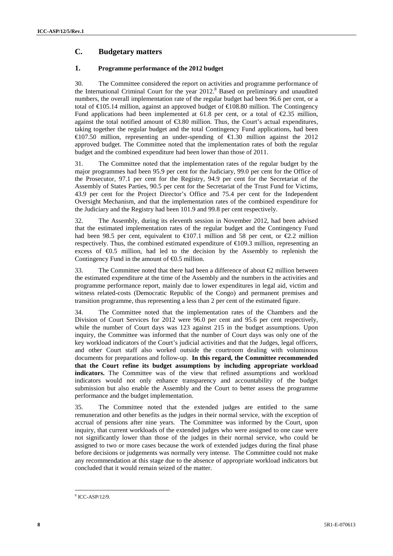### **C. Budgetary matters**

#### **1. Programme performance of the 2012 budget**

30. The Committee considered the report on activities and programme performance of the International Criminal Court for the year  $2012$ .<sup>8</sup> Based on preliminary and unaudited numbers, the overall implementation rate of the regular budget had been 96.6 per cent, or a total of €105.14 million, against an approved budget of €108.80 million. The Contingency Fund applications had been implemented at 61.8 per cent, or a total of  $\epsilon$ 2.35 million, against the total notified amount of  $\epsilon$ 3.80 million. Thus, the Court's actual expenditures, taking together the regular budget and the total Contingency Fund applications, had been €107.50 million, representing an under-spending of €1.30 million against the 2012 approved budget. The Committee noted that the implementation rates of both the regular budget and the combined expenditure had been lower than those of 2011.

31. The Committee noted that the implementation rates of the regular budget by the major programmes had been 95.9 per cent for the Judiciary, 99.0 per cent for the Office of the Prosecutor, 97.1 per cent for the Registry, 94.9 per cent for the Secretariat of the Assembly of States Parties, 90.5 per cent for the Secretariat of the Trust Fund for Victims, 43.9 per cent for the Project Director's Office and 75.4 per cent for the Independent Oversight Mechanism, and that the implementation rates of the combined expenditure for the Judiciary and the Registry had been 101.9 and 99.8 per cent respectively.

32. The Assembly, during its eleventh session in November 2012, had been advised that the estimated implementation rates of the regular budget and the Contingency Fund had been 98.5 per cent, equivalent to  $\infty$  07.1 million and 58 per cent, or  $\infty$  2 million respectively. Thus, the combined estimated expenditure of  $\in$  109.3 million, representing an excess of  $\epsilon 0.5$  million, had led to the decision by the Assembly to replenish the Contingency Fund in the amount of  $\Theta$ .5 million.

33. The Committee noted that there had been a difference of about €2 million between the estimated expenditure at the time of the Assembly and the numbers in the activities and programme performance report, mainly due to lower expenditures in legal aid, victim and witness related-costs (Democratic Republic of the Congo) and permanent premises and transition programme, thus representing a less than 2 per cent of the estimated figure.

34. The Committee noted that the implementation rates of the Chambers and the Division of Court Services for 2012 were 96.0 per cent and 95.6 per cent respectively, while the number of Court days was 123 against 215 in the budget assumptions. Upon inquiry, the Committee was informed that the number of Court days was only one of the key workload indicators of the Court's judicial activities and that the Judges, legal officers, and other Court staff also worked outside the courtroom dealing with voluminous documents for preparations and follow-up. **In this regard, the Committee recommended that the Court refine its budget assumptions by including appropriate workload indicators.** The Committee was of the view that refined assumptions and workload indicators would not only enhance transparency and accountability of the budget submission but also enable the Assembly and the Court to better assess the programme performance and the budget implementation.

35. The Committee noted that the extended judges are entitled to the same remuneration and other benefits as the judges in their normal service, with the exception of accrual of pensions after nine years. The Committee was informed by the Court, upon inquiry, that current workloads of the extended judges who were assigned to one case were not significantly lower than those of the judges in their normal service, who could be assigned to two or more cases because the work of extended judges during the final phase before decisions or judgements was normally very intense. The Committee could not make any recommendation at this stage due to the absence of appropriate workload indicators but concluded that it would remain seized of the matter.

<sup>8</sup> ICC-ASP/12/9.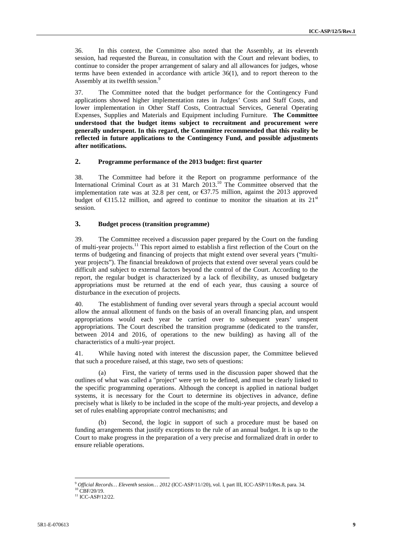36. In this context, the Committee also noted that the Assembly, at its eleventh session, had requested the Bureau, in consultation with the Court and relevant bodies, to continue to consider the proper arrangement of salary and all allowances for judges, whose terms have been extended in accordance with article 36(1), and to report thereon to the Assembly at its twelfth session.<sup>9</sup>

37. The Committee noted that the budget performance for the Contingency Fund applications showed higher implementation rates in Judges' Costs and Staff Costs, and lower implementation in Other Staff Costs, Contractual Services, General Operating Expenses, Supplies and Materials and Equipment including Furniture. **The Committee understood that the budget items subject to recruitment and procurement were generally underspent. In this regard, the Committee recommended that this reality be reflected in future applications to the Contingency Fund, and possible adjustments after notifications.**

#### **2. Programme performance of the 2013 budget: first quarter**

38. The Committee had before it the Report on programme performance of the International Criminal Court as at 31 March 2013.<sup>10</sup> The Committee observed that the implementation rate was at 32.8 per cent, or  $\mathfrak{S}7.75$  million, against the 2013 approved budget of  $\in$ 15.12 million, and agreed to continue to monitor the situation at its 21<sup>st</sup> session.

#### **3. Budget process (transition programme)**

39. The Committee received a discussion paper prepared by the Court on the funding of multi-year projects.<sup>11</sup> This report aimed to establish a first reflection of the Court on the terms of budgeting and financing of projects that might extend over several years ("multi year projects"). The financial breakdown of projects that extend over several years could be difficult and subject to external factors beyond the control of the Court. According to the report, the regular budget is characterized by a lack of flexibility, as unused budgetary appropriations must be returned at the end of each year, thus causing a source of disturbance in the execution of projects.

40. The establishment of funding over several years through a special account would allow the annual allotment of funds on the basis of an overall financing plan, and unspent appropriations would each year be carried over to subsequent years' unspent appropriations. The Court described the transition programme (dedicated to the transfer, between 2014 and 2016, of operations to the new building) as having all of the characteristics of a multi-year project.

41. While having noted with interest the discussion paper, the Committee believed that such a procedure raised, at this stage, two sets of questions:

(a) First, the variety of terms used in the discussion paper showed that the outlines of what was called a "project" were yet to be defined, and must be clearly linked to the specific programming operations. Although the concept is applied in national budget systems, it is necessary for the Court to determine its objectives in advance, define precisely what is likely to be included in the scope of the multi-year projects, and develop a set of rules enabling appropriate control mechanisms; and

Second, the logic in support of such a procedure must be based on funding arrangements that justify exceptions to the rule of an annual budget. It is up to the Court to make progress in the preparation of a very precise and formalized draft in order to ensure reliable operations.

<sup>&</sup>lt;sup>9</sup> Official Records... Eleventh session... 2012 (ICC-ASP/11//20), vol. I, part III, ICC-ASP/11/Res.8, para. 34. <sup>10</sup> CBF/20/19.<br><sup>10</sup> CBF/20/19.<br><sup>11</sup> ICC-ASP/12/22.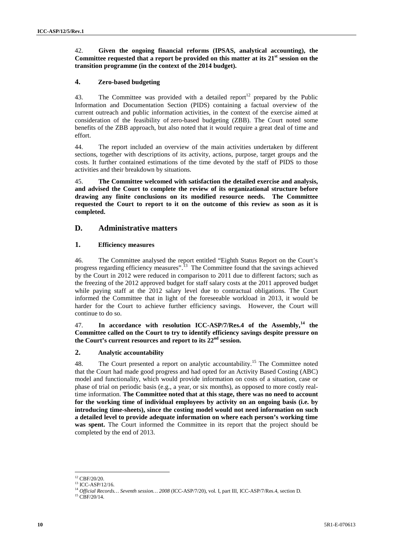#### 42. **Given the ongoing financial reforms (IPSAS, analytical accounting), the Committee requested that a report be provided on this matter at its 21st session on the transition programme (in the context of the 2014 budget).**

#### **4. Zero-based budgeting**

43. The Committee was provided with a detailed report<sup>12</sup> prepared by the Public Information and Documentation Section (PIDS) containing a factual overview of the current outreach and public information activities, in the context of the exercise aimed at consideration of the feasibility of zero-based budgeting (ZBB). The Court noted some benefits of the ZBB approach, but also noted that it would require a great deal of time and effort.

44. The report included an overview of the main activities undertaken by different sections, together with descriptions of its activity, actions, purpose, target groups and the costs. It further contained estimations of the time devoted by the staff of PIDS to those activities and their breakdown by situations.

45. **The Committee welcomed with satisfaction the detailed exercise and analysis, and advised the Court to complete the review of its organizational structure before drawing any finite conclusions on its modified resource needs. The Committee requested the Court to report to it on the outcome of this review as soon as it is completed.**

#### **D. Administrative matters**

#### **1. Efficiency measures**

46. The Committee analysed the report entitled "Eighth Status Report on the Court's progress regarding efficiency measures".<sup>13</sup> The Committee found that the savings achieved by the Court in 2012 were reduced in comparison to 2011 due to different factors; such as the freezing of the 2012 approved budget for staff salary costs at the 2011 approved budget while paying staff at the 2012 salary level due to contractual obligations. The Court informed the Committee that in light of the foreseeable workload in 2013, it would be harder for the Court to achieve further efficiency savings. However, the Court will continue to do so.

47. **In accordance with resolution ICC-ASP/7/Res.4 of the Assembly,<sup>14</sup> the Committee called on the Court to try to identify efficiency savings despite pressure on the Court's current resources and report to its 22 nd session.**

#### **2. Analytic accountability**

48. The Court presented a report on analytic accountability.<sup>15</sup> The Committee noted that the Court had made good progress and had opted for an Activity Based Costing (ABC) model and functionality, which would provide information on costs of a situation, case or phase of trial on periodic basis (e.g., a year, or six months), as opposed to more costly realtime information. **The Committee noted that at this stage, there was no need to account for the working time of individual employees by activity on an ongoing basis (i.e. by introducing time-sheets), since the costing model would not need information on such a detailed level to provide adequate information on where each person's working time was spent.** The Court informed the Committee in its report that the project should be completed by the end of 2013.

 $12$  CBF/20/20.

<sup>13</sup> ICC-ASP/12/16.

<sup>14</sup> *Official Records… Seventh session… 2008* (ICC-ASP/7/20), vol. I, part III, ICC-ASP/7/Res.4, section D. <sup>15</sup> CBF/20/14.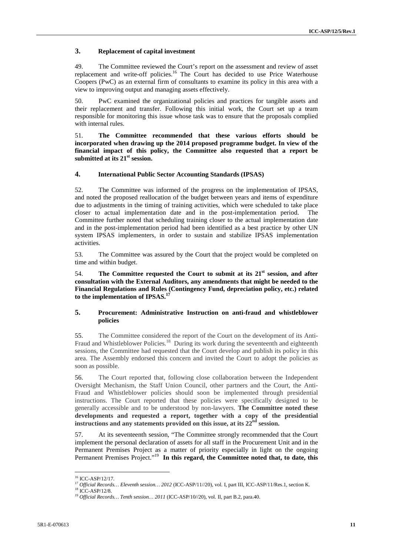#### **3. Replacement of capital investment**

49. The Committee reviewed the Court's report on the assessment and review of asset replacement and write-off policies.<sup>16</sup> The Court has decided to use Price Waterhouse Coopers (PwC) as an external firm of consultants to examine its policy in this area with a view to improving output and managing assets effectively.

50. PwC examined the organizational policies and practices for tangible assets and their replacement and transfer. Following this initial work, the Court set up a team responsible for monitoring this issue whose task was to ensure that the proposals complied with internal rules.

51. **The Committee recommended that these various efforts should be incorporated when drawing up the 2014 proposed programme budget. In view of the financial impact of this policy, the Committee also requested that a report be submitted at its 21st session.**

#### **4. International Public Sector Accounting Standards (IPSAS)**

52. The Committee was informed of the progress on the implementation of IPSAS, and noted the proposed reallocation of the budget between years and items of expenditure due to adjustments in the timing of training activities, which were scheduled to take place closer to actual implementation date and in the post-implementation period. The Committee further noted that scheduling training closer to the actual implementation date and in the post-implementation period had been identified as a best practice by other UN system IPSAS implementers, in order to sustain and stabilize IPSAS implementation activities.

53. The Committee was assured by the Court that the project would be completed on time and within budget.

54. **The Committee requested the Court to submit at its 21st session, and after consultation with the External Auditors, any amendments that might be needed to the Financial Regulations and Rules (Contingency Fund, depreciation policy, etc.) related to the implementation of IPSAS.<sup>17</sup>**

#### **5. Procurement: Administrative Instruction on anti-fraud and whistleblower policies**

55. The Committee considered the report of the Court on the development of its Anti- Fraud and Whistleblower Policies.<sup>18</sup> During its work during the seventeenth and eighteenth sessions, the Committee had requested that the Court develop and publish its policy in this area. The Assembly endorsed this concern and invited the Court to adopt the policies as soon as possible.

56. The Court reported that, following close collaboration between the Independent Oversight Mechanism, the Staff Union Council, other partners and the Court, the Anti- Fraud and Whistleblower policies should soon be implemented through presidential instructions. The Court reported that these policies were specifically designed to be generally accessible and to be understood by non-lawyers. **The Committee noted these developments and requested a report, together with a copy of the presidential instructions and any statements provided on this issue, at its 22nd session.**

57. At its seventeenth session, "The Committee strongly recommended that the Court implement the personal declaration of assets for all staff in the Procurement Unit and in the Permanent Premises Project as a matter of priority especially in light on the ongoing Permanent Premises Project." <sup>19</sup> **In this regard, the Committee noted that, to date, this**

<sup>&</sup>lt;sup>16</sup> ICC-ASP/12/17.

<sup>&</sup>lt;sup>17</sup> Official Records... Eleventh session... 2012 (ICC-ASP/11//20), vol. I, part III, ICC-ASP/11/Res.1, section K.<br><sup>18</sup> ICC-ASP/12/8.<br><sup>19</sup> Official Records... Tenth session... 2011 (ICC-ASP/10//20), vol. II, part B.2, par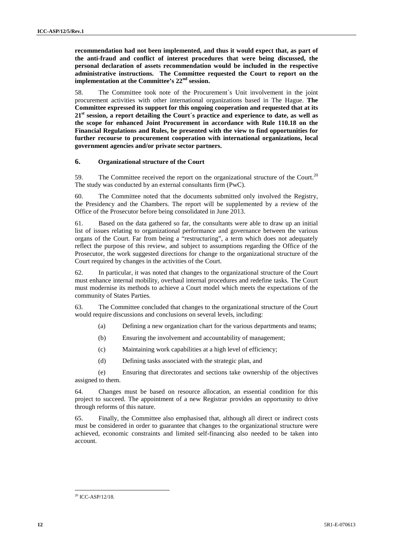**recommendation had not been implemented, and thus it would expect that, as part of the anti-fraud and conflict of interest procedures that were being discussed, the personal declaration of assets recommendation would be included in the respective administrative instructions. The Committee requested the Court to report on the implementation at the Committee's 22nd session.**

58. The Committee took note of the Procurement´s Unit involvement in the joint procurement activities with other international organizations based in The Hague. **The Committee expressed its support for this ongoing cooperation and requested that at its 21st session, a report detailing the Court´s practice and experience to date, as well as the scope for enhanced Joint Procurement in accordance with Rule 110.18 on the Financial Regulations and Rules, be presented with the view to find opportunities for further recourse to procurement cooperation with international organizations, local government agencies and/or private sector partners.**

#### **6. Organizational structure of the Court**

59. The Committee received the report on the organizational structure of the Court.<sup>20</sup> The study was conducted by an external consultants firm (PwC).

60. The Committee noted that the documents submitted only involved the Registry, the Presidency and the Chambers. The report will be supplemented by a review of the Office of the Prosecutor before being consolidated in June 2013.

61. Based on the data gathered so far, the consultants were able to draw up an initial list of issues relating to organizational performance and governance between the various organs of the Court. Far from being a "restructuring", a term which does not adequately reflect the purpose of this review, and subject to assumptions regarding the Office of the Prosecutor, the work suggested directions for change to the organizational structure of the Court required by changes in the activities of the Court.

62. In particular, it was noted that changes to the organizational structure of the Court must enhance internal mobility, overhaul internal procedures and redefine tasks. The Court must modernise its methods to achieve a Court model which meets the expectations of the community of States Parties.

63. The Committee concluded that changes to the organizational structure of the Court would require discussions and conclusions on several levels, including:

- (a) Defining a new organization chart for the various departments and teams;
- (b) Ensuring the involvement and accountability of management;
- (c) Maintaining work capabilities at a high level of efficiency;
- (d) Defining tasks associated with the strategic plan, and

(e) Ensuring that directorates and sections take ownership of the objectives assigned to them.

64. Changes must be based on resource allocation, an essential condition for this project to succeed. The appointment of a new Registrar provides an opportunity to drive through reforms of this nature.

65. Finally, the Committee also emphasised that, although all direct or indirect costs must be considered in order to guarantee that changes to the organizational structure were achieved, economic constraints and limited self-financing also needed to be taken into account.

 $20$  ICC-ASP/12/18.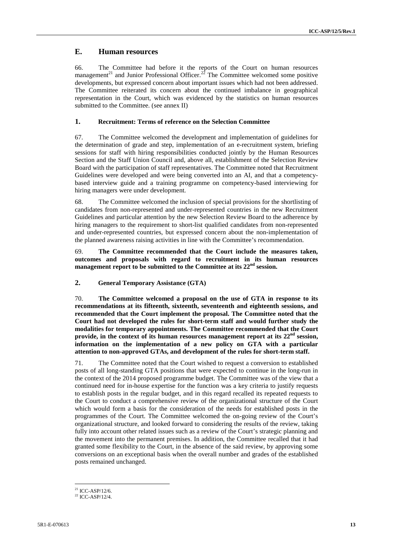### **E. Human resources**

66. The Committee had before it the reports of the Court on human resources management<sup>21</sup> and Junior Professional Officer.<sup>22</sup> The Committee welcomed some positive developments, but expressed concern about important issues which had not been addressed. The Committee reiterated its concern about the continued imbalance in geographical representation in the Court, which was evidenced by the statistics on human resources submitted to the Committee. (see annex II)

#### **1. Recruitment: Terms of reference on the Selection Committee**

67. The Committee welcomed the development and implementation of guidelines for the determination of grade and step, implementation of an e-recruitment system, briefing sessions for staff with hiring responsibilities conducted jointly by the Human Resources Section and the Staff Union Council and, above all, establishment of the Selection Review Board with the participation of staff representatives. The Committee noted that Recruitment Guidelines were developed and were being converted into an AI, and that a competency based interview guide and a training programme on competency-based interviewing for hiring managers were under development.

68. The Committee welcomed the inclusion of special provisions for the shortlisting of candidates from non-represented and under-represented countries in the new Recruitment Guidelines and particular attention by the new Selection Review Board to the adherence by hiring managers to the requirement to short-list qualified candidates from non-represented and under-represented countries, but expressed concern about the non-implementation of the planned awareness raising activities in line with the Committee's recommendation.

69. **The Committee recommended that the Court include the measures taken, outcomes and proposals with regard to recruitment in its human resources management report to be submitted to the Committee at its 22nd session.**

#### **2. General Temporary Assistance (GTA)**

70. **The Committee welcomed a proposal on the use of GTA in response to its recommendations at its fifteenth, sixteenth, seventeenth and eighteenth sessions, and recommended that the Court implement the proposal. The Committee noted that the Court had not developed the rules for short-term staff and would further study the modalities for temporary appointments. The Committee recommended that the Court provide, in the context of its human resources management report at its 22nd session, information on the implementation of a new policy on GTA with a particular attention to non-approved GTAs, and development of the rules for short-term staff.**

71. The Committee noted that the Court wished to request a conversion to established posts of all long-standing GTA positions that were expected to continue in the long-run in the context of the 2014 proposed programme budget. The Committee was of the view that a continued need for in-house expertise for the function was a key criteria to justify requests to establish posts in the regular budget, and in this regard recalled its repeated requests to the Court to conduct a comprehensive review of the organizational structure of the Court which would form a basis for the consideration of the needs for established posts in the programmes of the Court. The Committee welcomed the on-going review of the Court's organizational structure, and looked forward to considering the results of the review, taking fully into account other related issues such as a review of the Court's strategic planning and the movement into the permanent premises. In addition, the Committee recalled that it had granted some flexibility to the Court, in the absence of the said review, by approving some conversions on an exceptional basis when the overall number and grades of the established posts remained unchanged.

<sup>&</sup>lt;sup>21</sup> ICC-ASP/12/6.<br><sup>22</sup> ICC-ASP/12/4.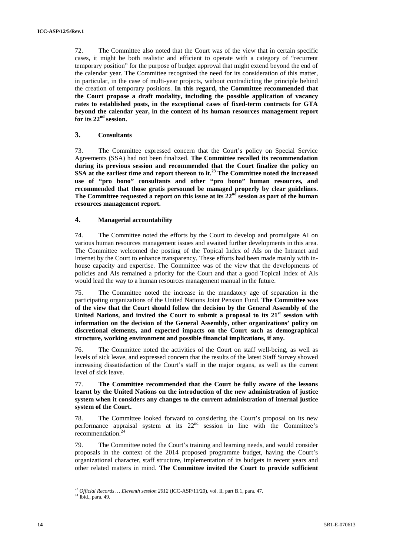72. The Committee also noted that the Court was of the view that in certain specific cases, it might be both realistic and efficient to operate with a category of "recurrent temporary position" for the purpose of budget approval that might extend beyond the end of the calendar year. The Committee recognized the need for its consideration of this matter, in particular, in the case of multi-year projects, without contradicting the principle behind the creation of temporary positions. **In this regard, the Committee recommended that the Court propose a draft modality, including the possible application of vacancy rates to established posts, in the exceptional cases of fixed-term contracts for GTA beyond the calendar year, in the context of its human resources management report for its 22nd session.**

#### **3. Consultants**

73. The Committee expressed concern that the Court's policy on Special Service Agreements (SSA) had not been finalized. **The Committee recalled its recommendation during its previous session and recommended that the Court finalize the policy on SSA at the earliest time and report thereon to it.<sup>23</sup> The Committee noted the increased use of "pro bono" consultants and other "pro bono" human resources, and recommended that those gratis personnel be managed properly by clear guidelines. The Committee requested a report on this issue at its 22nd session as part of the human resources management report.**

#### **4. Managerial accountability**

74. The Committee noted the efforts by the Court to develop and promulgate AI on various human resources management issues and awaited further developments in this area. The Committee welcomed the posting of the Topical Index of AIs on the Intranet and Internet by the Court to enhance transparency. These efforts had been made mainly with in house capacity and expertise. The Committee was of the view that the developments of policies and AIs remained a priority for the Court and that a good Topical Index of AIs would lead the way to a human resources management manual in the future.

75. The Committee noted the increase in the mandatory age of separation in the participating organizations of the United Nations Joint Pension Fund. **The Committee was of the view that the Court should follow the decision by the General Assembly of the United Nations, and invited the Court to submit a proposal to its 21st session with information on the decision of the General Assembly, other organizations' policy on discretional elements, and expected impacts on the Court such as demographical structure, working environment and possible financial implications, if any.**

76. The Committee noted the activities of the Court on staff well-being, as well as levels of sick leave, and expressed concern that the results of the latest Staff Survey showed increasing dissatisfaction of the Court's staff in the major organs, as well as the current level of sick leave.

#### 77. **The Committee recommended that the Court be fully aware of the lessons learnt by the United Nations on the introduction of the new administration of justice system when it considers any changes to the current administration of internal justice system of the Court.**

78. The Committee looked forward to considering the Court's proposal on its new performance appraisal system at its  $22<sup>nd</sup>$  session in line with the Committee's recommendation.<sup>24</sup>

79. The Committee noted the Court's training and learning needs, and would consider proposals in the context of the 2014 proposed programme budget, having the Court's organizational character, staff structure, implementation of its budgets in recent years and other related matters in mind. **The Committee invited the Court to provide sufficient**

<sup>&</sup>lt;sup>23</sup> *Official Records … Eleventh session 2012* (ICC-ASP/11/20), vol. II, part B.1, para. 47. <sup>24</sup> Ibid., para. 49.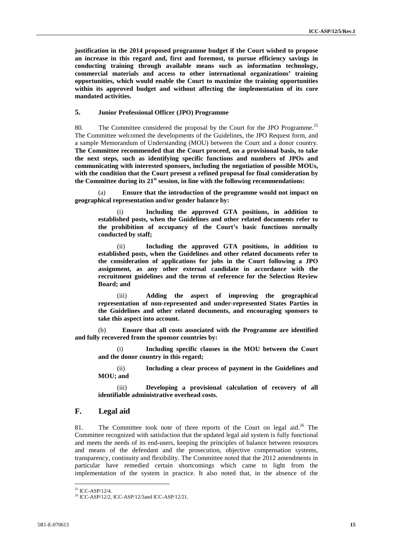**justification in the 2014 proposed programme budget if the Court wished to propose an increase in this regard and, first and foremost, to pursue efficiency savings in conducting training through available means such as information technology, commercial materials and access to other international organizations' training opportunities, which would enable the Court to maximize the training opportunities within its approved budget and without affecting the implementation of its core mandated activities.**

#### **5. Junior Professional Officer (JPO) Programme**

80. The Committee considered the proposal by the Court for the JPO Programme.<sup>25</sup> The Committee welcomed the developments of the Guidelines, the JPO Request form, and a sample Memorandum of Understanding (MOU) between the Court and a donor country. **The Committee recommended that the Court proceed, on a provisional basis, to take the next steps, such as identifying specific functions and numbers of JPOs and communicating with interested sponsors, including the negotiation of possible MOUs, with the condition that the Court present a refined proposal for final consideration by the Committee during its 21st session, in line with the following recommendations:**

(a) **Ensure that the introduction of the programme would not impact on geographical representation and/or gender balance by:**

(i) **Including the approved GTA positions, in addition to established posts, when the Guidelines and other related documents refer to the prohibition of occupancy of the Court's basic functions normally conducted by staff;**

(ii) **Including the approved GTA positions, in addition to established posts, when the Guidelines and other related documents refer to the consideration of applications for jobs in the Court following a JPO assignment, as any other external candidate in accordance with the recruitment guidelines and the terms of reference for the Selection Review Board; and**

(iii) **Adding the aspect of improving the geographical representation of non-represented and under-represented States Parties in the Guidelines and other related documents, and encouraging sponsors to take this aspect into account.**

(b) **Ensure that all costs associated with the Programme are identified and fully recovered from the sponsor countries by:**

(i) **Including specific clauses in the MOU between the Court and the donor country in this regard;**

(ii) **Including a clear process of payment in the Guidelines and MOU; and**

(iii) **Developing a provisional calculation of recovery of all identifiable administrative overhead costs.**

### **F. Legal aid**

81. The Committee took note of three reports of the Court on legal aid.<sup>26</sup> The Committee recognized with satisfaction that the updated legal aid system is fully functional and meets the needs of its end-users, keeping the principles of balance between resources and means of the defendant and the prosecution, objective compensation systems, transparency, continuity and flexibility. The Committee noted that the 2012 amendments in particular have remedied certain shortcomings which came to light from the implementation of the system in practice. It also noted that, in the absence of the

<sup>&</sup>lt;sup>25</sup> ICC-ASP/12/4.<br><sup>26</sup> ICC-ASP/12/2. ICC-ASP/12/3and ICC-ASP/12/21.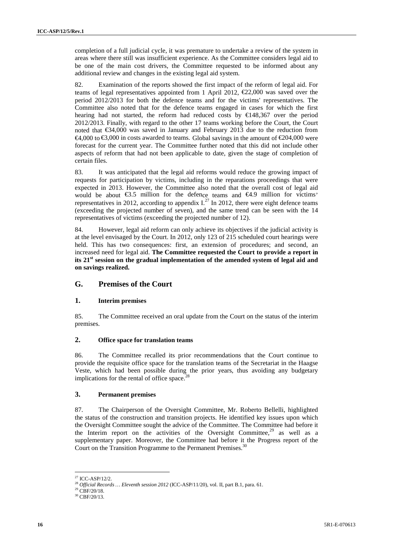completion of a full judicial cycle, it was premature to undertake a review of the system in areas where there still was insufficient experience. As the Committee considers legal aid to be one of the main cost drivers, the Committee requested to be informed about any additional review and changes in the existing legal aid system.

82. Examination of the reports showed the first impact of the reform of legal aid. For teams of legal representatives appointed from 1 April 2012,  $\epsilon$ 2,000 was saved over the period 2012/2013 for both the defence teams and for the victims' representatives. The Committee also noted that for the defence teams engaged in cases for which the first hearing had not started, the reform had reduced costs by  $\in$ 148,367 over the period 2012/2013. Finally, with regard to the other 17 teams working before the Court, the Court noted that €34,000 was saved in January and February 2013 due to the reduction from  $€4,000$  to €3,000 in costs awarded to teams. Global savings in the amount of €204,000 were forecast for the current year. The Committee further noted that this did not include other aspects of reform that had not been applicable to date, given the stage of completion of certain files.

83. It was anticipated that the legal aid reforms would reduce the growing impact of requests for participation by victims, including in the reparations proceedings that were expected in 2013. However, the Committee also noted that the overall cost of legal aid would be about €3.5 million for the defence teams and €4.9 million for victims' representatives in 2012, according to appendix  $I^{27}$  In 2012, there were eight defence teams (exceeding the projected number of seven), and the same trend can be seen with the 14 representatives of victims (exceeding the projected number of 12).

84. However, legal aid reform can only achieve its objectives if the judicial activity is at the level envisaged by the Court. In 2012, only 123 of 215 scheduled court hearings were held. This has two consequences: first, an extension of procedures; and second, an increased need for legal aid. **The Committee requested the Court to provide a report in its 21st session on the gradual implementation of the amended system of legal aid and on savings realized.**

#### **G. Premises of the Court**

#### **1. Interim premises**

85. The Committee received an oral update from the Court on the status of the interim premises.

#### **2. Office space for translation teams**

86. The Committee recalled its prior recommendations that the Court continue to provide the requisite office space for the translation teams of the Secretariat in the Haagse Veste, which had been possible during the prior years, thus avoiding any budgetary implications for the rental of office space.<sup>2</sup>

#### **3. Permanent premises**

87. The Chairperson of the Oversight Committee, Mr. Roberto Bellelli, highlighted the status of the construction and transition projects. He identified key issues upon which the Oversight Committee sought the advice of the Committee. The Committee had before it the Interim report on the activities of the Oversight Committee, $29$  as well as a supplementary paper. Moreover, the Committee had before it the Progress report of the Court on the Transition Programme to the Permanent Premises.<sup>30</sup>

<sup>27</sup> ICC-ASP/12/2.

<sup>&</sup>lt;sup>28</sup> *Official Records … Eleventh session 2012* (ICC-ASP/11/20), vol. II, part B.1, para. 61.<br><sup>29</sup> CBF/20/18.<br><sup>30</sup> CBF/20/13.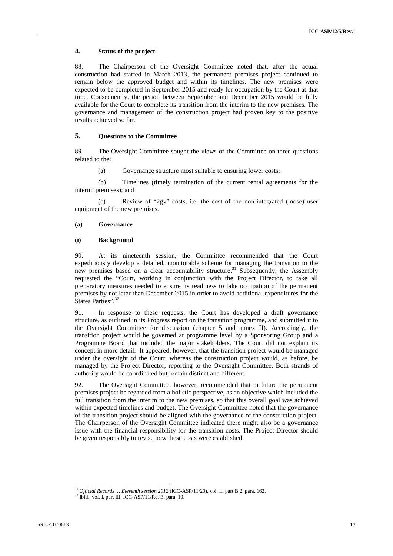#### **4. Status of the project**

88. The Chairperson of the Oversight Committee noted that, after the actual construction had started in March 2013, the permanent premises project continued to remain below the approved budget and within its timelines. The new premises were expected to be completed in September 2015 and ready for occupation by the Court at that time. Consequently, the period between September and December 2015 would be fully available for the Court to complete its transition from the interim to the new premises. The governance and management of the construction project had proven key to the positive results achieved so far.

#### **5. Questions to the Committee**

89. The Oversight Committee sought the views of the Committee on three questions related to the:

(a) Governance structure most suitable to ensuring lower costs;

(b) Timelines (timely termination of the current rental agreements for the interim premises); and

(c) Review of "2gv" costs, i.e. the cost of the non-integrated (loose) user equipment of the new premises.

#### **(a) Governance**

#### **(i) Background**

90. At its nineteenth session, the Committee recommended that the Court expeditiously develop a detailed, monitorable scheme for managing the transition to the new premises based on a clear accountability structure.<sup>31</sup> Subsequently, the Assembly requested the "Court, working in conjunction with the Project Director, to take all preparatory measures needed to ensure its readiness to take occupation of the permanent premises by not later than December 2015 in order to avoid additional expenditures for the States Parties".<sup>32</sup>

91. In response to these requests, the Court has developed a draft governance structure, as outlined in its Progress report on the transition programme, and submitted it to the Oversight Committee for discussion (chapter 5 and annex II). Accordingly, the transition project would be governed at programme level by a Sponsoring Group and a Programme Board that included the major stakeholders. The Court did not explain its concept in more detail. It appeared, however, that the transition project would be managed under the oversight of the Court, whereas the construction project would, as before, be managed by the Project Director, reporting to the Oversight Committee. Both strands of authority would be coordinated but remain distinct and different.

92. The Oversight Committee, however, recommended that in future the permanent premises project be regarded from a holistic perspective, as an objective which included the full transition from the interim to the new premises, so that this overall goal was achieved within expected timelines and budget. The Oversight Committee noted that the governance of the transition project should be aligned with the governance of the construction project. The Chairperson of the Oversight Committee indicated there might also be a governance issue with the financial responsibility for the transition costs. The Project Director should be given responsibly to revise how these costs were established.

<sup>&</sup>lt;sup>31</sup> *Official Records … Eleventh session 2012* (ICC-ASP/11/20), vol. II, part B.2, para. 162. <sup>32</sup> Ibid., vol. I, part III, ICC-ASP/11/Res.3, para. 10.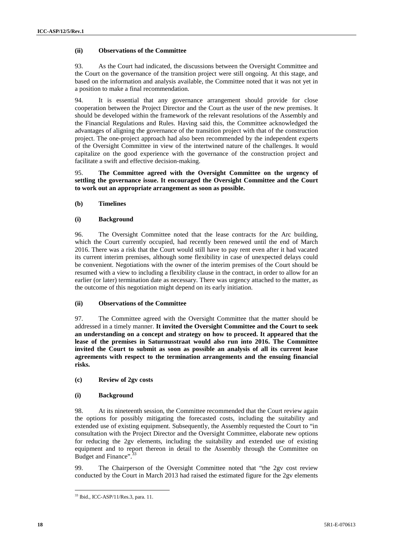#### **(ii) Observations of the Committee**

93. As the Court had indicated, the discussions between the Oversight Committee and the Court on the governance of the transition project were still ongoing. At this stage, and based on the information and analysis available, the Committee noted that it was not yet in a position to make a final recommendation.

94. It is essential that any governance arrangement should provide for close cooperation between the Project Director and the Court as the user of the new premises. It should be developed within the framework of the relevant resolutions of the Assembly and the Financial Regulations and Rules. Having said this, the Committee acknowledged the advantages of aligning the governance of the transition project with that of the construction project. The one-project approach had also been recommended by the independent experts of the Oversight Committee in view of the intertwined nature of the challenges. It would capitalize on the good experience with the governance of the construction project and facilitate a swift and effective decision-making.

95. **The Committee agreed with the Oversight Committee on the urgency of settling the governance issue. It encouraged the Oversight Committee and the Court to work out an appropriate arrangement as soon as possible.**

#### **(b) Timelines**

#### **(i) Background**

96. The Oversight Committee noted that the lease contracts for the Arc building, which the Court currently occupied, had recently been renewed until the end of March 2016. There was a risk that the Court would still have to pay rent even after it had vacated its current interim premises, although some flexibility in case of unexpected delays could be convenient. Negotiations with the owner of the interim premises of the Court should be resumed with a view to including a flexibility clause in the contract, in order to allow for an earlier (or later) termination date as necessary. There was urgency attached to the matter, as the outcome of this negotiation might depend on its early initiation.

#### **(ii) Observations of the Committee**

97. The Committee agreed with the Oversight Committee that the matter should be addressed in a timely manner. **It invited the Oversight Committee and the Court to seek an understanding on a concept and strategy on how to proceed. It appeared that the lease of the premises in Saturnusstraat would also run into 2016. The Committee invited the Court to submit as soon as possible an analysis of all its current lease agreements with respect to the termination arrangements and the ensuing financial risks.**

#### **(c) Review of 2gv costs**

#### **(i) Background**

98. At its nineteenth session, the Committee recommended that the Court review again the options for possibly mitigating the forecasted costs, including the suitability and extended use of existing equipment. Subsequently, the Assembly requested the Court to "in consultation with the Project Director and the Oversight Committee, elaborate new options for reducing the 2gv elements, including the suitability and extended use of existing equipment and to report thereon in detail to the Assembly through the Committee on Budget and Finance".

99. The Chairperson of the Oversight Committee noted that "the 2gv cost review conducted by the Court in March 2013 had raised the estimated figure for the 2gv elements

<sup>33</sup> Ibid., ICC-ASP/11/Res.3, para. 11.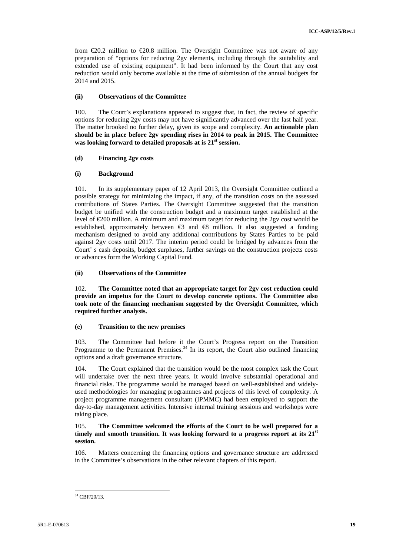from €20.2 million to €20.8 million. The Oversight Committee was not aware of any preparation of "options for reducing 2gv elements, including through the suitability and extended use of existing equipment". It had been informed by the Court that any cost reduction would only become available at the time of submission of the annual budgets for 2014 and 2015.

#### **(ii) Observations of the Committee**

100. The Court's explanations appeared to suggest that, in fact, the review of specific options for reducing 2gv costs may not have significantly advanced over the last half year. The matter brooked no further delay, given its scope and complexity. **An actionable plan should be in place before 2gv spending rises in 2014 to peak in 2015. The Committee was looking forward to detailed proposals at is 21st session.**

#### **(d) Financing 2gv costs**

#### **(i) Background**

101. In its supplementary paper of 12 April 2013, the Oversight Committee outlined a possible strategy for minimizing the impact, if any, of the transition costs on the assessed contributions of States Parties. The Oversight Committee suggested that the transition budget be unified with the construction budget and a maximum target established at the level of  $\epsilon$ 200 million. A minimum and maximum target for reducing the 2gv cost would be established, approximately between €3 and €8 million. It also suggested a funding mechanism designed to avoid any additional contributions by States Parties to be paid against 2gv costs until 2017. The interim period could be bridged by advances from the Court' s cash deposits, budget surpluses, further savings on the construction projects costs or advances form the Working Capital Fund*.*

#### **(ii) Observations of the Committee**

102. **The Committee noted that an appropriate target for 2gv cost reduction could provide an impetus for the Court to develop concrete options. The Committee also took note of the financing mechanism suggested by the Oversight Committee, which required further analysis.**

#### **(e) Transition to the new premises**

103. The Committee had before it the Court's Progress report on the Transition Programme to the Permanent Premises.<sup>34</sup> In its report, the Court also outlined financing options and a draft governance structure.

104. The Court explained that the transition would be the most complex task the Court will undertake over the next three years. It would involve substantial operational and financial risks. The programme would be managed based on well-established and widely used methodologies for managing programmes and projects of this level of complexity. A project programme management consultant (IPMMC) had been employed to support the day-to-day management activities. Intensive internal training sessions and workshops were taking place.

#### 105. **The Committee welcomed the efforts of the Court to be well prepared for a timely and smooth transition. It was looking forward to a progress report at its 21st session.**

106. Matters concerning the financing options and governance structure are addressed in the Committee's observations in the other relevant chapters of this report.

 $34$  CBF/20/13.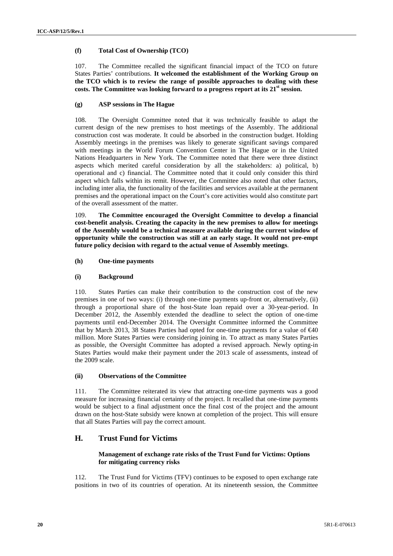#### **(f) Total Cost of Ownership (TCO)**

107. The Committee recalled the significant financial impact of the TCO on future States Parties' contributions. **It welcomed the establishment of the Working Group on the TCO which is to review the range of possible approaches to dealing with these costs. The Committee was looking forward to a progress report at its 21st session.**

#### **(g) ASP sessions in The Hague**

108. The Oversight Committee noted that it was technically feasible to adapt the current design of the new premises to host meetings of the Assembly. The additional construction cost was moderate. It could be absorbed in the construction budget. Holding Assembly meetings in the premises was likely to generate significant savings compared with meetings in the World Forum Convention Center in The Hague or in the United Nations Headquarters in New York. The Committee noted that there were three distinct aspects which merited careful consideration by all the stakeholders: a) political, b) operational and c) financial. The Committee noted that it could only consider this third aspect which falls within its remit. However, the Committee also noted that other factors, including inter alia, the functionality of the facilities and services available at the permanent premises and the operational impact on the Court's core activities would also constitute part of the overall assessment of the matter.

109. **The Committee encouraged the Oversight Committee to develop a financial cost-benefit analysis. Creating the capacity in the new premises to allow for meetings of the Assembly would be a technical measure available during the current window of opportunity while the construction was still at an early stage. It would not pre-empt future policy decision with regard to the actual venue of Assembly meetings**.

#### **(h) One-time payments**

#### **(i) Background**

110. States Parties can make their contribution to the construction cost of the new premises in one of two ways: (i) through one-time payments up-front or, alternatively, (ii) through a proportional share of the host-State loan repaid over a 30-year-period. In December 2012, the Assembly extended the deadline to select the option of one-time payments until end-December 2014. The Oversight Committee informed the Committee that by March 2013, 38 States Parties had opted for one-time payments for a value of  $\epsilon 40$ million. More States Parties were considering joining in. To attract as many States Parties as possible, the Oversight Committee has adopted a revised approach. Newly opting-in States Parties would make their payment under the 2013 scale of assessments, instead of the 2009 scale.

#### **(ii) Observations of the Committee**

111. The Committee reiterated its view that attracting one-time payments was a good measure for increasing financial certainty of the project. It recalled that one-time payments would be subject to a final adjustment once the final cost of the project and the amount drawn on the host-State subsidy were known at completion of the project. This will ensure that all States Parties will pay the correct amount.

### **H. Trust Fund for Victims**

#### **Management of exchange rate risks of the Trust Fund for Victims: Options for mitigating currency risks**

112. The Trust Fund for Victims (TFV) continues to be exposed to open exchange rate positions in two of its countries of operation. At its nineteenth session, the Committee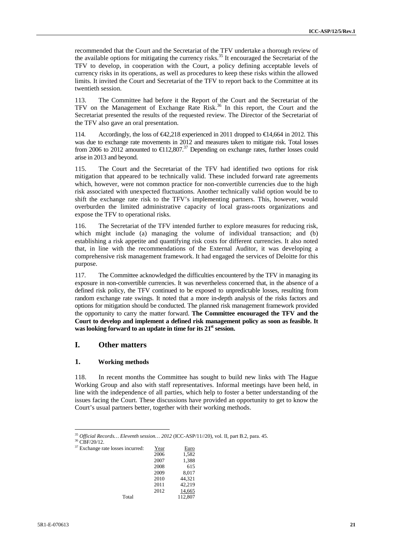recommended that the Court and the Secretariat of the TFV undertake a thorough review of the available options for mitigating the currency risks.<sup>35</sup> It encouraged the Secretariat of the TFV to develop, in cooperation with the Court, a policy defining acceptable levels of currency risks in its operations, as well as procedures to keep these risks within the allowed limits. It invited the Court and Secretariat of the TFV to report back to the Committee at its twentieth session.

113. The Committee had before it the Report of the Court and the Secretariat of the TFV on the Management of Exchange Rate Risk.<sup>36</sup> In this report, the Court and the Secretariat presented the results of the requested review. The Director of the Secretariat of the TFV also gave an oral presentation.

114. Accordingly, the loss of €42,218 experienced in 2011 dropped to €14,664 in 2012. This was due to exchange rate movements in 2012 and measures taken to mitigate risk. Total losses from 2006 to 2012 amounted to  $\bigoplus$  12,807.<sup>37</sup> Depending on exchange rates, further losses could arise in 2013 and beyond.

115. The Court and the Secretariat of the TFV had identified two options for risk mitigation that appeared to be technically valid. These included forward rate agreements which, however, were not common practice for non-convertible currencies due to the high risk associated with unexpected fluctuations. Another technically valid option would be to shift the exchange rate risk to the TFV's implementing partners. This, however, would overburden the limited administrative capacity of local grass-roots organizations and expose the TFV to operational risks.

116. The Secretariat of the TFV intended further to explore measures for reducing risk, which might include (a) managing the volume of individual transaction; and (b) establishing a risk appetite and quantifying risk costs for different currencies. It also noted that, in line with the recommendations of the External Auditor, it was developing a comprehensive risk management framework. It had engaged the services of Deloitte for this purpose.

117. The Committee acknowledged the difficulties encountered by the TFV in managing its exposure in non-convertible currencies. It was nevertheless concerned that, in the absence of a defined risk policy, the TFV continued to be exposed to unpredictable losses, resulting from random exchange rate swings. It noted that a more in-depth analysis of the risks factors and options for mitigation should be conducted. The planned risk management framework provided the opportunity to carry the matter forward. **The Committee encouraged the TFV and the Court to develop and implement a defined risk management policy as soon as feasible. It was looking forward to an update in time for its 21st session.**

#### **I. Other matters**

#### **1. Working methods**

118. In recent months the Committee has sought to build new links with The Hague Working Group and also with staff representatives. Informal meetings have been held, in line with the independence of all parties, which help to foster a better understanding of the issues facing the Court. These discussions have provided an opportunity to get to know the Court's usual partners better, together with their working methods.

 $37$  Excha

| nge rate losses incurred: | Year | Euro    |  |
|---------------------------|------|---------|--|
|                           | 2006 | 1,582   |  |
|                           | 2007 | 1,388   |  |
|                           | 2008 | 615     |  |
|                           | 2009 | 8.017   |  |
|                           | 2010 | 44.321  |  |
|                           | 2011 | 42.219  |  |
|                           | 2012 | 14,665  |  |
| Total                     |      | 112,807 |  |
|                           |      |         |  |

<sup>35</sup> *Official Records… Eleventh session… <sup>2012</sup>* (ICC-ASP/11//20), vol. II, part B.2, para. 45. <sup>36</sup> CBF/20/12.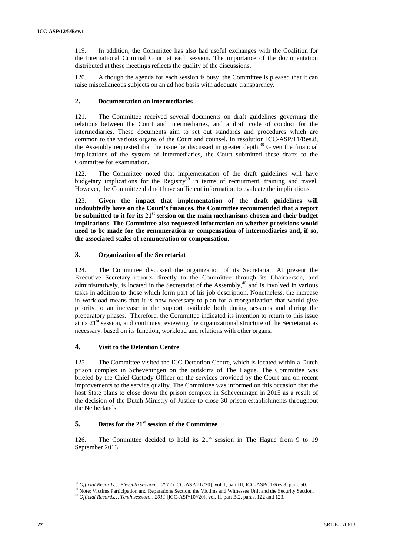119. In addition, the Committee has also had useful exchanges with the Coalition for the International Criminal Court at each session. The importance of the documentation distributed at these meetings reflects the quality of the discussions.

120. Although the agenda for each session is busy, the Committee is pleased that it can raise miscellaneous subjects on an ad hoc basis with adequate transparency.

#### **2. Documentation on intermediaries**

121. The Committee received several documents on draft guidelines governing the relations between the Court and intermediaries, and a draft code of conduct for the intermediaries. These documents aim to set out standards and procedures which are common to the various organs of the Court and counsel. In resolution ICC-ASP/11/Res.8, the Assembly requested that the issue be discussed in greater depth.<sup>38</sup> Given the financial implications of the system of intermediaries, the Court submitted these drafts to the Committee for examination.

122. The Committee noted that implementation of the draft guidelines will have budgetary implications for the Registry<sup>39</sup> in terms of recruitment, training and travel. However, the Committee did not have sufficient information to evaluate the implications.

123. **Given the impact that implementation of the draft guidelines will undoubtedly have on the Court's finances, the Committee recommended that a report be submitted to it for its 21st session on the main mechanisms chosen and their budget implications. The Committee also requested information on whether provisions would need to be made for the remuneration or compensation of intermediaries and, if so, the associated scales of remuneration or compensation**.

#### **3. Organization of the Secretariat**

124. The Committee discussed the organization of its Secretariat. At present the Executive Secretary reports directly to the Committee through its Chairperson, and administratively, is located in the Secretariat of the Assembly,<sup>40</sup> and is involved in various tasks in addition to those which form part of his job description. Nonetheless, the increase in workload means that it is now necessary to plan for a reorganization that would give priority to an increase in the support available both during sessions and during the preparatory phases. Therefore, the Committee indicated its intention to return to this issue at its  $21<sup>st</sup>$  session, and continues reviewing the organizational structure of the Secretariat as necessary, based on its function, workload and relations with other organs.

#### **4. Visit to the Detention Centre**

125. The Committee visited the ICC Detention Centre, which is located within a Dutch prison complex in Scheveningen on the outskirts of The Hague. The Committee was briefed by the Chief Custody Officer on the services provided by the Court and on recent improvements to the service quality. The Committee was informed on this occasion that the host State plans to close down the prison complex in Scheveningen in 2015 as a result of the decision of the Dutch Ministry of Justice to close 30 prison establishments throughout the Netherlands.

#### **5. Dates for the 21st session of the Committee**

126. The Committee decided to hold its  $21<sup>st</sup>$  session in The Hague from 9 to 19 September 2013.

<sup>&</sup>lt;sup>38</sup> Official Records... Eleventh session... 2012 (ICC-ASP/11//20), vol. I, part III, ICC-ASP/11/Res.8, para. 50.<br><sup>39</sup> Note: Victims Participation and Reparations Section, the Victims and Witnesses Unit and the Security S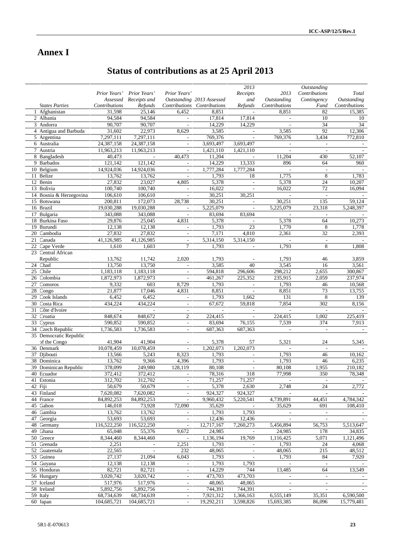# **Annex I**

# **Status of contributions as at 25 April 2013**

|           |                            |                          |                          |                                                      |                             | 2013                              |                                    | Outstanding                     |                          |
|-----------|----------------------------|--------------------------|--------------------------|------------------------------------------------------|-----------------------------|-----------------------------------|------------------------------------|---------------------------------|--------------------------|
|           |                            | Prior Years'             | Prior Years'             | Prior Years'                                         |                             | Receipts                          | 2013                               | Contributions                   | Total                    |
|           |                            |                          | Assessed Receipts and    |                                                      | Outstanding 2013 Assessed   | and                               | Outstanding                        | Contingency                     | Outstanding              |
|           | <b>States Parties</b>      | Contributions            | Refunds                  |                                                      | Contributions Contributions | Refunds                           | Contributions                      | Fund                            | Contributions            |
|           | 1 Afghanistan              | 31,598                   | 25,146                   | 6,452                                                | 8,851                       |                                   | 8,851                              | 82                              | 15,385                   |
|           | 2 Albania                  | 94,584                   | 94,584                   | $\blacksquare$                                       | 17,814                      | 17,814                            | $\overline{\phantom{a}}$           | 10                              | 10                       |
|           | 3 Andorra                  | 90,707                   | 90,707                   | $\bar{\phantom{a}}$                                  | 14,229                      | 14,229                            | $\overline{\phantom{a}}$           | 34                              | 34                       |
|           | 4 Antigua and Barbuda      | 31,602                   | 22,973                   | 8,629                                                | 3,585                       | $\sim$                            | 3,585                              | 92                              | 12,306                   |
|           | 5 Argentina                | 7,297,111                | 7,297,111                | $\overline{\phantom{a}}$                             | 769,376                     |                                   | 769,376                            | 3,434                           | 772,810                  |
|           | 6 Australia                | 24,387,158<br>11,963,213 | 24,387,158               | $\overline{\phantom{a}}$                             | 3,693,497                   | 3,693,497                         | $\overline{\phantom{a}}$           | $\overline{\phantom{a}}$        |                          |
|           | 7 Austria                  | 40,473                   | 11,963,213               | $\overline{\phantom{a}}$<br>40,473                   | 1,421,110                   | 1,421,110                         | $\overline{\phantom{a}}$<br>11,204 | $\overline{\phantom{a}}$        | $\overline{\phantom{a}}$ |
|           | 8 Bangladesh<br>9 Barbados | 121,142                  | $\omega$<br>121,142      |                                                      | 11,204<br>14,229            | $\mathcal{L}$<br>13,333           | 896                                | 430<br>64                       | 52,107                   |
|           | 10 Belgium                 | 14,924,036               | 14,924,036               | $\overline{\phantom{a}}$<br>$\overline{\phantom{a}}$ | 1,777,284                   | 1,777,284                         |                                    | $\overline{\phantom{a}}$        | 960                      |
| 11        | Belize                     | 13,762                   | 13,762                   | $\overline{\phantom{a}}$                             | 1,793                       | 18                                | 1,775                              | 8                               | 1,783                    |
| 12 Benin  |                            | 27,832                   | 23,027                   | 4,805                                                | 5,378                       | $\overline{\phantom{a}}$          | 5,378                              | 24                              | 10,207                   |
|           | 13 Bolivia                 | 100,740                  | 100,740                  | $\mathbb{L}$                                         | 16,022                      | $\sim$                            | 16,022                             | 72                              | 16,094                   |
|           | 14 Bosnia & Herzegovina    | 106,610                  | 106,610                  | $\overline{a}$                                       | 30,251                      | 30,251                            | $\overline{\phantom{a}}$           | $\overline{\phantom{a}}$        |                          |
|           | 15 Botswana                | 200,811                  | 172,073                  | 28,738                                               | 30,251                      | $\overline{\phantom{a}}$          | 30,251                             | 135                             | 59,124                   |
| 16 Brazil |                            | 19,030,288               | 19,030,288               | $\overline{\phantom{a}}$                             | 5,225,079                   | $\overline{\phantom{a}}$          | 5,225,079                          | 23,318                          | 5,248,397                |
| 17        | Bulgaria                   | 343,088                  | 343,088                  | $\sim$                                               | 83,694                      | 83,694                            | $\overline{\phantom{a}}$           | $\overline{\phantom{a}}$        |                          |
|           | 18 Burkina Faso            | 29,876                   | 25,045                   | 4,831                                                | 5,378                       |                                   | 5,378                              | 64                              | 10,273                   |
|           | 19 Burundi                 | 12,138                   | 12,138                   | $\overline{\phantom{a}}$                             | 1,793                       | 23                                | 1,770                              | 8                               | 1,778                    |
|           | 20 Cambodia                | 27,832                   | 27,832                   | $\overline{\phantom{a}}$                             | 7,171                       | 4,810                             | 2,361                              | 32                              | 2,393                    |
| 21        | Canada                     | 41,126,985               | 41,126,985               | $\mathcal{L}$                                        | 5,314,150                   | 5,314,150                         | $\mathcal{L}$                      | $\omega$                        | $\overline{a}$           |
|           | 22 Cape Verde              | 1,610                    | 1,603                    | $\tau$                                               | 1,793                       | $\mathcal{L}$                     | 1,793                              | 8                               | 1,808                    |
|           | 23 Central African         |                          |                          |                                                      |                             |                                   |                                    |                                 |                          |
|           | Republic                   | 13,762                   | 11,742                   | 2,020                                                | 1,793                       |                                   | 1,793                              | 46                              | 3,859                    |
| 24 Chad   |                            | 13,750                   | 13,750                   | $\overline{\phantom{a}}$                             | 3,585                       | 40                                | 3,545                              | 16                              | 3,561                    |
| 25        | Chile                      | 1,183,118                | 1,183,118                | $\overline{a}$                                       | 594,818                     | 296,606                           | 298,212                            | 2,655                           | 300,867                  |
|           | 26 Colombia                | 1,872,973                | 1,872,973                | $\overline{\phantom{a}}$                             | 461,267                     | 225,352                           | 235,915                            | 2,059                           | 237,974                  |
| 27        | Comoros                    | 9,332                    | 603                      | 8,729                                                | 1,793                       | $\overline{\phantom{a}}$          | 1,793                              | 46                              | 10,568                   |
| 28        | Congo                      | 21,877                   | 17,046                   | 4,831                                                | 8,851                       | $\overline{\phantom{a}}$          | 8,851                              | 73                              | 13,755                   |
| 29        | Cook Islands               | 6,452                    | 6,452                    | $\overline{\phantom{a}}$                             | 1,793                       | 1,662                             | 131                                | 8                               | 139                      |
| 30        | Costa Rica                 | 434,224                  | 434,224                  | $\overline{\phantom{a}}$                             | 67,672                      | 59,818                            | 7,854                              | 302                             | 8,156                    |
|           | 31 Côte d'Ivoire           | $\overline{\phantom{a}}$ | $\overline{\phantom{a}}$ | $\overline{\phantom{a}}$                             | $\overline{\phantom{a}}$    | $\overline{\phantom{a}}$          | $\overline{\phantom{a}}$           | $\overline{\phantom{a}}$        |                          |
|           | 32 Croatia                 | 848,674                  | 848,672                  | $\overline{c}$                                       | 224,415                     | $\overline{\phantom{a}}$          | 224,415                            | 1,002                           | 225,419                  |
|           | 33 Cyprus                  | 590,852                  | 590,852                  | $\omega$                                             | 83,694                      | 76,155                            | 7,539                              | 374                             | 7.913                    |
|           | 34 Czech Republic          | 1,736,583                | 1,736,583                | $\overline{\phantom{a}}$                             | 687,363                     | 687,363                           | $\overline{\phantom{a}}$           | $\blacksquare$                  |                          |
|           | 35 Democratic Republic     |                          |                          |                                                      |                             |                                   |                                    |                                 |                          |
|           | of the Congo               | 41,904                   | 41,904                   |                                                      | 5,378                       | 57                                | 5,321                              | 24                              | 5,345                    |
|           | 36 Denmark                 | 10,078,459               | 10,078,459               |                                                      | 1,202,073                   | 1,202,073                         |                                    | $\mathcal{L}_{\mathcal{A}}$     |                          |
|           | 37 Djibouti                | 13,566                   | 5,243                    | 8,323                                                | 1,793                       | $\mathbb{L}$                      | 1,793                              | 46                              | 10,162                   |
|           | 38 Dominica                | 13,762                   | 9,366                    | 4,396                                                | 1,793                       | $\overline{\phantom{a}}$          | 1,793                              | 46                              | 6,235                    |
|           | 39 Dominican Republic      | 378,099                  | 249,980                  | 128,119                                              | 80,108                      |                                   | 80,108                             | 1,955                           | 210,182                  |
|           | 40 Ecuador                 | 372,412                  | 372,412                  | $\overline{\phantom{a}}$                             | 78,316                      | 318                               | 77,998                             | 350                             | 78,348                   |
|           | 41 Estonia                 | 312,702                  | 312,702                  |                                                      | 71,257                      | 71,257                            |                                    | $\sim$                          |                          |
| 42 Fiji   |                            | 50,679                   | 50,679                   | $\overline{\phantom{a}}$                             | 5,378                       | 2,630                             | 2,748                              | 24                              | 2,772                    |
|           | 43 Finland<br>44 France    | 7,620,082<br>84,892,253  | 7,620,082<br>84,892,253  | $\overline{\phantom{a}}$                             | 924,327<br>9,960,432        | 924,327<br>5,220,541              | 4,739,891                          | 44,451                          | 4,784,342                |
| 45 Gabon  |                            | 146,018                  | 73,928                   | 72,090                                               | 35,629                      |                                   | 35,629                             |                                 | 108,410                  |
|           | 46 Gambia                  | 13,762                   | 13,762                   | $\overline{\phantom{a}}$                             | 1,793                       | $\overline{\phantom{a}}$<br>1,793 | $\overline{\phantom{a}}$           | 691<br>$\overline{\phantom{a}}$ |                          |
|           | 47 Georgia                 | 53,693                   | 53,693                   | $\blacksquare$                                       | 12,436                      | 12,436                            |                                    | $\overline{\phantom{a}}$        |                          |
|           | 48 Germany                 | 116,522,250              | 116,522,250              | $\Box$                                               | 12,717,167                  | 7,260,273                         | 5,456,894                          | 56,753                          | 5,513,647                |
| 49 Ghana  |                            | 65,048                   | 55,376                   | 9,672                                                | 24,985                      | $\overline{\phantom{a}}$          | 24,985                             | 178                             | 34,835                   |
|           | 50 Greece                  | 8,344,460                | 8,344,460                | $\bar{\phantom{a}}$                                  | 1,136,194                   | 19,769                            | 1,116,425                          | 5,071                           | 1,121,496                |
|           | 51 Grenada                 | 2,251                    |                          | 2,251                                                | 1,793                       | $\overline{\phantom{a}}$          | 1,793                              | 24                              | 4,068                    |
|           | 52 Guatemala               | 22,565                   |                          | 232                                                  | 48,065                      |                                   | 48,065                             | 215                             | 48,512                   |
|           | 53 Guinea                  | 27,137                   | 21,094                   | 6,043                                                | 1,793                       | $\overline{\phantom{a}}$          | 1,793                              | 84                              | 7,920                    |
|           | 54 Guyana                  | 12,138                   | 12,138                   | $\overline{\phantom{a}}$                             | 1,793                       | 1,793                             | $\overline{\phantom{a}}$           | $\sim$                          | $\overline{\phantom{a}}$ |
|           | 55 Honduras                | 82,721                   | 82,721                   | $\overline{\phantom{a}}$                             | 14,229                      | 744                               | 13,485                             | 64                              | 13,549                   |
|           | 56 Hungary                 | 3,020,742                | 3,020,742                | $\overline{\phantom{a}}$                             | 473,703                     | 473,703                           | $\overline{\phantom{a}}$           | $\overline{\phantom{a}}$        |                          |
|           | 57 Iceland                 | 517,976                  | 517,976                  | $\overline{\phantom{a}}$                             | 48,065                      | 48,065                            |                                    | $\overline{\phantom{a}}$        |                          |
|           | 58 Ireland                 | 5,892,756                | 5,892,756                | $\overline{\phantom{a}}$                             | 744,391                     | 744,391                           | $\overline{a}$                     | $\overline{\phantom{a}}$        |                          |
| 59 Italy  |                            | 68,734,639               | 68,734,639               | $\overline{\phantom{a}}$                             | 7,921,312                   | 1,366,163                         | 6,555,149                          | 35,351                          | 6,590,500                |
| 60 Japan  |                            | 104,685,721              | 104,685,721              | $\blacksquare$                                       | 19,292,211                  | 3,598,826                         | 15,693,385                         | 86,096                          | 15,779,481               |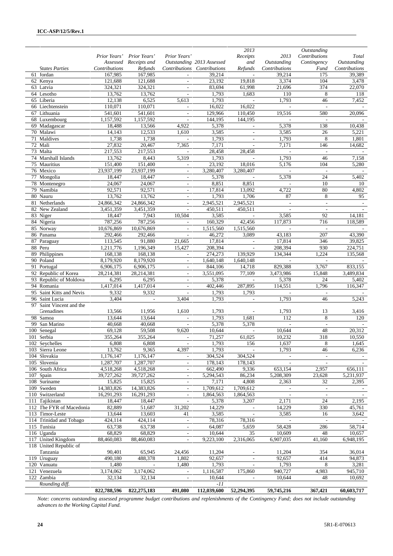|    |                                        | Prior Years' Prior Years' | Assessed Receipts and    | Prior Years'                                         | Outstanding 2013 Assessed             | 2013<br>Receipts<br>and            | 2013<br>Outstanding         | Outstanding<br>Contributions<br>Contingency | Total<br>Outstanding     |
|----|----------------------------------------|---------------------------|--------------------------|------------------------------------------------------|---------------------------------------|------------------------------------|-----------------------------|---------------------------------------------|--------------------------|
|    | <b>States Parties</b>                  | Contributions<br>167,985  | Refunds<br>167,985       |                                                      | Contributions Contributions<br>39,214 | Refunds                            | Contributions<br>39,214     | Fund<br>175                                 | Contributions<br>39,389  |
|    | 61 Jordan<br>62 Kenya                  | 121,688                   | 121,688                  | $\overline{\phantom{a}}$<br>$\overline{\phantom{a}}$ | 23,192                                | $\overline{\phantom{a}}$<br>19,818 | 3,374                       | 104                                         | 3,478                    |
|    | 63 Latvia                              | 324,321                   | 324,321                  |                                                      | 83,694                                | 61,998                             | 21,696                      | 374                                         | 22,070                   |
|    | 64 Lesotho                             | 13,762                    | 13,762                   | $\overline{\phantom{a}}$                             | 1,793                                 | 1,683                              | 110                         | 8                                           | 118                      |
|    | 65 Liberia                             | 12,138                    | 6,525                    | 5,613                                                | 1,793                                 | $\overline{\phantom{a}}$           | 1,793                       | 46                                          | 7,452                    |
|    | 66 Liechtenstein                       | 110,071                   | 110,071                  | $\omega$                                             | 16,022                                | 16,022                             | $\mathbf{r}$                | $\omega$                                    |                          |
|    | 67 Lithuania                           | 541,601                   | 541,601                  | $\overline{\phantom{a}}$                             | 129,966                               | 110,450                            | 19.516                      | 580                                         | 20,096                   |
|    | 68 Luxembourg                          | 1,157,592                 | 1,157,592                |                                                      | 144,195                               | 144,195                            |                             | $\overline{\phantom{a}}$                    |                          |
| 69 | Madagascar                             | 18,488                    | 13,566                   | 4,922                                                | 5,378                                 | $\overline{\phantom{a}}$           | 5,378                       | 138                                         | 10,438                   |
|    | 70 Malawi                              | 14,143                    | 12,533                   | 1,610                                                | 3,585                                 | $\sim$                             | 3,585                       | 26                                          | 5,221                    |
|    | 71 Maldives                            | 1,738                     | 1,738                    | $\mathbb{L}$                                         | 1,793                                 | $\overline{\phantom{a}}$           | 1,793                       | 8                                           | 1,801                    |
|    | 72 Mali                                | 27,832                    | 20,467                   | 7,365                                                | 7,171                                 | $\overline{\phantom{a}}$           | 7,171                       | 146                                         | 14,682                   |
|    | 73 Malta                               | 217,553                   | 217,553                  | $\overline{\phantom{a}}$                             | 28,458                                | 28,458                             | $\overline{\phantom{a}}$    | $\overline{\phantom{a}}$                    | $\overline{\phantom{a}}$ |
|    | 74 Marshall Islands                    | 13,762                    | 8,443                    | 5,319                                                | 1,793                                 | $\mathbf{r}$                       | 1,793                       | 46                                          | 7,158                    |
|    | 75 Mauritius                           | 151,400                   | 151,400                  | $\overline{\phantom{a}}$                             | 23,192                                | 18,016                             | 5,176                       | 104                                         | 5,280                    |
|    | 76 Mexico                              | 23,937,199                | 23,937,199               | $\overline{\phantom{a}}$                             | 3,280,407                             | 3,280,407                          |                             | $\overline{\phantom{a}}$                    |                          |
|    | 77 Mongolia                            | 18,447                    | 18,447                   | $\overline{\phantom{a}}$                             | 5,378                                 | $\overline{\phantom{a}}$           | 5,378                       | 24                                          | 5,402                    |
|    | 78 Montenegro                          | 24,067                    | 24,067                   | $\overline{\phantom{a}}$                             | 8,851                                 | 8,851                              | $\overline{\phantom{a}}$    | 10                                          | 10                       |
|    | 79 Namibia                             | 92,571                    | 92,571                   | $\sim$                                               | 17,814                                | 13,092                             | 4,722                       | 80                                          | 4,802                    |
|    | 80 Nauru                               | 13,762                    | 13,762                   | $\overline{\phantom{a}}$                             | 1,793                                 | 1,706                              | 87                          | 8                                           | 95                       |
|    | 81 Netherlands                         | 24,866,342                | 24,866,342               | $\overline{\phantom{a}}$                             | 2,945,521                             | 2,945,521                          | $\sim$                      | $\bar{\phantom{a}}$                         | $\sim$                   |
|    | 82 New Zealand                         | 3,451,359                 | 3,451,359                | $\overline{\phantom{a}}$                             | 450,511                               | 450,511                            | $\overline{\phantom{a}}$    | $\overline{\phantom{a}}$                    | $\overline{\phantom{a}}$ |
|    | 83 Niger                               | 18,447                    | 7,943                    | 10,504                                               | 3,585                                 | $\overline{\phantom{a}}$           | 3,585                       | 92                                          | 14,181                   |
|    | 84 Nigeria                             | 787,256                   | 787,256                  | $\bar{\phantom{a}}$                                  | 160,329                               | 42,456                             | 117,873                     | 716                                         | 118,589                  |
|    | $85$ Norway                            | 10,676,869                | $\overline{10,676,869}$  | $\overline{\phantom{a}}$                             | 1,515,560                             | 1,515,560                          | ÷                           | $\overline{\phantom{a}}$                    |                          |
|    | 86 Panama                              | 292,466                   | 292,466                  | $\sim$                                               | 46,272                                | 3,089                              | 43,183                      | 207                                         | 43,390                   |
| 87 | Paraguay                               | 113,545                   | 91,880                   | 21,665                                               | 17,814                                | $\overline{\phantom{a}}$           | 17,814                      | 346                                         | 39,825                   |
| 88 | Peru                                   | 1,211,776                 | 1,196,349                | 15,427                                               | 208,394                               | $\sim$                             | 208,394                     | 930                                         | 224,751                  |
| 89 | Philippines                            | 168,138                   | 168,138                  | $\overline{\phantom{a}}$                             | 274,273                               | 139,929                            | 134,344                     | 1,224                                       | 135,568                  |
|    | 90 Poland                              | 8,179,920                 | 8,179,920                | $\overline{\phantom{a}}$                             | 1,640,148                             | 1,640,148                          | $\overline{\phantom{a}}$    | $\overline{\phantom{a}}$                    | $\overline{\phantom{a}}$ |
|    | 91 Portugal                            | 6,906,175                 | 6,906,175                | $\sim$                                               | 844,106                               | 14,718                             | 829,388                     | 3,767                                       | 833,155                  |
| 92 | Republic of Korea                      | 28,214,381                | 28,214,381               | $\overline{\phantom{a}}$                             | 3,551,095                             | 77,109                             | 3,473,986                   | 15,848                                      | 3,489,834                |
|    | 93 Republic of Moldova                 | 6,295                     | 6,295                    | $\overline{\phantom{a}}$                             | 5,378                                 |                                    | 5,378                       | 24                                          | 5,402                    |
|    | 94 Romania                             | 1,417,014                 | 1,417,014                | $\overline{\phantom{a}}$                             | 402,446                               | 287,895                            | 114,551                     | 1,796                                       | 116,347                  |
| 95 | Saint Kitts and Nevis                  | 9,332                     | 9,332                    | $\omega$                                             | 1,793                                 | 1,793                              | $\overline{\phantom{a}}$    | $\overline{\phantom{a}}$                    |                          |
|    | 96 Saint Lucia                         | 3,404                     | $\overline{\phantom{a}}$ | 3,404                                                | 1,793                                 | $\overline{\phantom{a}}$           | 1,793                       | 46                                          | 5,243                    |
|    | 97 Saint Vincent and the<br>Grenadines | 13,566                    | 11,956                   | 1,610                                                | 1,793                                 |                                    | 1,793                       | 13                                          | 3,416                    |
|    | 98 Samoa                               | 13,644                    | 13,644                   | $\sim$                                               | 1,793                                 | 1,681                              | 112                         | 8                                           | 120                      |
| 99 | San Marino                             | 40,668                    | 40,668                   | $\overline{\phantom{a}}$                             | 5,378                                 | 5,378                              | $\overline{\phantom{a}}$    | $\overline{\phantom{a}}$                    |                          |
|    | 100 Senegal                            | 69,128                    | 59,508                   | 9,620                                                | 10,644                                | $\sim$                             | 10,644                      | 48                                          | 20,312                   |
|    | 101 Serbia                             | 355,264                   | 355,264                  | $\overline{\phantom{a}}$                             | 71,257                                | 61,025                             | 10,232                      | 318                                         | 10,550                   |
|    | 102 Seychelles                         | 6,808                     | 6,808                    |                                                      | 1,793                                 | 156                                | 1,637                       | 8                                           | 1,645                    |
|    | 103 Sierra Leone                       | 13,762                    | 9,365                    | 4,397                                                | 1,793                                 |                                    | 1,793                       | 46                                          | 6,236                    |
|    | 104 Slovakia                           | 1,176,147                 | 1,176,147                | $\omega$                                             | 304.524                               | 304,524                            | $\omega$                    | $\sim$                                      | $\overline{\phantom{a}}$ |
|    | 105 Slovenia                           | 1,287,707                 | 1,287,707                | $\overline{\phantom{a}}$                             | 178,143                               | 178,143                            | $\overline{\phantom{a}}$    | $\overline{\phantom{a}}$                    | $\overline{\phantom{a}}$ |
|    | 106 South Africa                       | 4,518,268                 | 4,518,268                | $\overline{\phantom{a}}$                             | 662,490                               | 9,336                              | 653,154                     | 2,957                                       | 656,111                  |
|    | 107 Spain                              | 39,727,262                | 39,727,262               | $\overline{\phantom{a}}$                             | 5,294,543                             | 86,234                             | 5,208,309                   | 23,628                                      | 5,231,937                |
|    | 108 Suriname                           | 15,825                    | 15,825                   | $\overline{\phantom{a}}$                             | 7,171                                 | 4,808                              | 2,363                       | 32                                          | 2,395                    |
|    | 109 Sweden                             | 14,383,826                | 14,383,826               | $\blacksquare$                                       | 1,709,612                             | 1,709,612                          | $\mathcal{L}^{\mathcal{A}}$ | $\sim$                                      |                          |
|    | 110 Switzerland                        | 16,291,293                | 16,291,293               | $\overline{\phantom{a}}$                             | 1,864,563                             | 1,864,563                          | $\overline{\phantom{a}}$    | $\overline{\phantom{a}}$                    | $\overline{\phantom{a}}$ |
|    | 111 Tajikistan                         | 18,447                    | 18,447                   | $\overline{\phantom{a}}$                             | 5,378                                 | 3,207                              | 2,171                       | 24                                          | 2,195                    |
|    | 112 The FYR of Macedonia               | 82,889                    | 51,687                   | 31,202                                               | 14,229                                | $\sim$                             | 14,229                      | 330                                         | 45,761                   |
|    | 113 Timor-Leste                        | 13,644                    | 13,603                   | 41                                                   | 3,585                                 | $\overline{\phantom{a}}$           | 3,585                       | 16                                          | 3,642                    |
|    | 114 Trinidad and Tobago                | 424,114                   | 424,114                  | $\omega$                                             | 78,316                                | 78,316                             |                             |                                             |                          |
|    | 115 Tunisia                            | 63,738                    | 63,738                   | $\overline{\phantom{a}}$                             | 64,087                                | 5,659                              | 58,428                      | 286                                         | 58,714                   |
|    | 116 Uganda                             | 68,829                    | 68,829                   | $\overline{\phantom{a}}$                             | 10,644                                | 35                                 | 10,609                      | 48                                          | 10,657                   |
|    | 117 United Kingdom                     | 88,460,083                | 88,460,083               | $\omega$                                             | 9,223,100                             | 2,316,065                          | 6,907,035                   | 41,160                                      | 6,948,195                |
|    | 118 United Republic of                 |                           |                          |                                                      |                                       |                                    |                             |                                             |                          |
|    | Tanzania                               | 90,401                    | 65,945                   | 24,456                                               | 11,204                                |                                    | 11,204                      | 354                                         | 36,014                   |
|    | 119 Uruguay                            | 490,180                   | 488,378                  | 1,802                                                | 92,657                                | $\overline{\phantom{a}}$           | 92,657                      | 414                                         | 94,873                   |
|    | 120 Vanuatu                            | 1,480                     | $\sim$                   | 1,480                                                | 1,793                                 |                                    | 1,793                       | 8                                           | 3,281                    |
|    | 121 Venezuela                          | 3,174,062                 | 3,174,062                | $\mathcal{L}_{\mathcal{A}}$                          | 1,116,587                             | 175,860                            | 940,727                     | 4,983                                       | 945,710                  |
|    | 122 Zambia                             | 32,134                    | 32,134                   | $\overline{\phantom{a}}$                             | 10,644                                | $\overline{\phantom{a}}$           | 10,644                      | 48                                          | 10,692                   |
|    | Rounding diff.                         |                           |                          |                                                      | $-11$                                 |                                    |                             |                                             |                          |
|    |                                        | 822,788,596               | 822,275,183              | 491,080                                              | 112,039,600                           | 52,294,395                         | 59,745,216                  | 367,421                                     | 60,603,717               |

*Note: concerns outstanding assessed programme budget contributions and replenishments of the Contingency Fund; does not include outstanding advances to the Working Capital Fund.*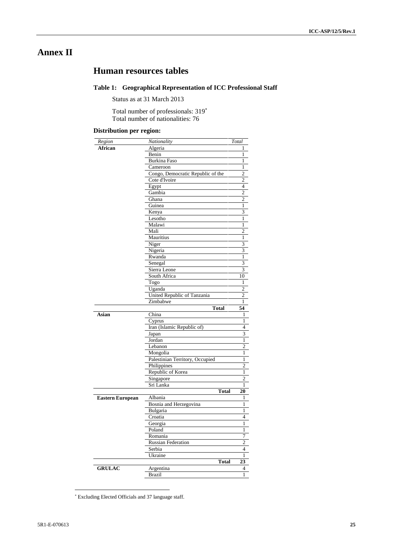# **Annex II**

# **Human resources tables**

#### **Table 1: Geographical Representation of ICC Professional Staff**

Status as at 31 March 2013

Total number of professionals: 319 Total number of nationalities: 76

#### **Distribution per region:**

| Region                  | Nationality                       | Total                                                                                                                                                                    |
|-------------------------|-----------------------------------|--------------------------------------------------------------------------------------------------------------------------------------------------------------------------|
| African                 | Algeria                           | $\mathbf{1}$                                                                                                                                                             |
|                         | Benin                             | $\mathbf{1}$                                                                                                                                                             |
|                         | <b>Burkina Faso</b>               | 1                                                                                                                                                                        |
|                         | Cameroon                          | $\mathbf{1}$                                                                                                                                                             |
|                         | Congo, Democratic Republic of the | $\overline{2}$                                                                                                                                                           |
|                         | Cote d'Ivoire                     | $\overline{c}$                                                                                                                                                           |
|                         | Egypt                             | $\overline{\mathcal{L}}$                                                                                                                                                 |
|                         | Gambia                            | $\overline{2}$                                                                                                                                                           |
|                         | Ghana                             | 2                                                                                                                                                                        |
|                         | Guinea                            | $\mathbf{1}$                                                                                                                                                             |
|                         | Kenya                             | 3                                                                                                                                                                        |
|                         | Lesotho                           | $\mathbf{1}$                                                                                                                                                             |
|                         | Malawi                            | $\mathbf{1}$                                                                                                                                                             |
|                         | Mali                              | $\overline{c}$                                                                                                                                                           |
|                         | Mauritius                         | $\mathbf{1}$                                                                                                                                                             |
|                         | Niger                             | $\overline{\mathbf{3}}$                                                                                                                                                  |
|                         | Nigeria                           | 3                                                                                                                                                                        |
|                         | Rwanda                            | $\mathbf{1}$                                                                                                                                                             |
|                         | Senegal                           | 3                                                                                                                                                                        |
|                         | Sierra Leone                      | 3                                                                                                                                                                        |
|                         | South Africa                      | 10                                                                                                                                                                       |
|                         | Togo                              | $\mathbf{1}$                                                                                                                                                             |
|                         | Uganda                            | $\overline{2}$                                                                                                                                                           |
|                         | United Republic of Tanzania       | $\overline{c}$                                                                                                                                                           |
|                         | Zimbabwe                          | $\mathbf{1}$                                                                                                                                                             |
|                         | <b>Total</b>                      | 54                                                                                                                                                                       |
| Asian                   | China                             | $\mathbf{1}$                                                                                                                                                             |
|                         | Cyprus                            | 1                                                                                                                                                                        |
|                         | Iran (Islamic Republic of)        | $\overline{4}$                                                                                                                                                           |
|                         | Japan                             | 3                                                                                                                                                                        |
|                         | Jordan                            | $\mathbf{1}$                                                                                                                                                             |
|                         | Lebanon                           | $\overline{c}$                                                                                                                                                           |
|                         | Mongolia                          | 1                                                                                                                                                                        |
|                         | Palestinian Territory, Occupied   |                                                                                                                                                                          |
|                         |                                   |                                                                                                                                                                          |
|                         |                                   |                                                                                                                                                                          |
|                         | Philippines                       |                                                                                                                                                                          |
|                         | Republic of Korea                 |                                                                                                                                                                          |
|                         | Singapore                         |                                                                                                                                                                          |
|                         | Sri Lanka                         |                                                                                                                                                                          |
|                         | <b>Total</b>                      |                                                                                                                                                                          |
|                         | Albania                           |                                                                                                                                                                          |
|                         | Bosnia and Herzegovina            |                                                                                                                                                                          |
|                         | Bulgaria                          |                                                                                                                                                                          |
|                         | Croatia                           |                                                                                                                                                                          |
|                         | Georgia                           | 1<br>1                                                                                                                                                                   |
|                         | Poland                            |                                                                                                                                                                          |
|                         | Romania                           |                                                                                                                                                                          |
| <b>Eastern European</b> | <b>Russian Federation</b>         |                                                                                                                                                                          |
|                         | Serbia                            |                                                                                                                                                                          |
|                         | Ukraine                           |                                                                                                                                                                          |
|                         | <b>Total</b>                      |                                                                                                                                                                          |
| <b>GRULAC</b>           | Argentina<br><b>Brazil</b>        | 1<br>$\overline{c}$<br>1<br>$\overline{2}$<br>$\mathbf{1}$<br>20<br>1<br>4<br>1<br>$\mathbf{1}$<br>7<br>$\overline{2}$<br>$\overline{4}$<br>$\mathbf{1}$<br>23<br>4<br>1 |

Excluding Elected Officials and 37 language staff.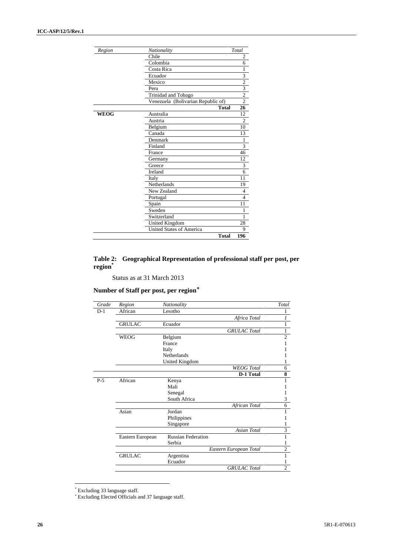| Region      | Nationality                        | Total                   |
|-------------|------------------------------------|-------------------------|
|             | Chile                              | 2                       |
|             | Colombia                           | 6                       |
|             | Costa Rica                         | 1                       |
|             | Ecuador                            | $\overline{\mathbf{3}}$ |
|             | Mexico                             | $\overline{2}$          |
|             | Peru                               | $\overline{\mathbf{3}}$ |
|             | Trinidad and Tobago                | $\overline{2}$          |
|             | Venezuela (Bolivarian Republic of) | $\overline{2}$          |
|             | <b>Total</b>                       | 26                      |
| <b>WEOG</b> | Australia                          | 12                      |
|             | Austria                            | $\overline{2}$          |
|             | Belgium                            | 10                      |
|             | Canada                             | 13                      |
|             | Denmark                            | 1                       |
|             | Finland                            | 3                       |
|             | France                             | 46                      |
|             | Germany                            | 12                      |
|             | Greece                             | 3                       |
|             | Ireland                            | 6                       |
|             | Italy                              | 11                      |
|             | Netherlands                        | 19                      |
|             | New Zealand                        | 4                       |
|             | Portugal                           | $\overline{4}$          |
|             | Spain                              | 11                      |
|             | Sweden                             | 1                       |
|             | Switzerland                        | 1                       |
|             | United Kingdom                     | 28                      |
|             | <b>United States of America</b>    | Q                       |
|             | <b>Total</b>                       | 196                     |

#### **Table 2: Geographical Representation of professional staff per post, per region\***

Status as at 31 March 2013

#### **Number of Staff per post, per region**

| Grade | Region           | Nationality               |                        | Total                     |
|-------|------------------|---------------------------|------------------------|---------------------------|
| $D-1$ | African          | Lesotho                   |                        |                           |
|       |                  |                           | Africa Total           |                           |
|       | <b>GRULAC</b>    | Ecuador                   |                        |                           |
|       |                  |                           | <b>GRULAC</b> Total    | 1                         |
|       | <b>WEOG</b>      | Belgium                   |                        | $\overline{c}$            |
|       |                  | France                    |                        |                           |
|       |                  | Italy                     |                        |                           |
|       |                  | <b>Netherlands</b>        |                        |                           |
|       |                  | United Kingdom            |                        | 1                         |
|       |                  |                           | <b>WEOG</b> Total      | 6                         |
|       |                  |                           | D-1 Total              | $\overline{\bf 8}$        |
| $P-5$ | African          | Kenya                     |                        |                           |
|       |                  | Mali                      |                        |                           |
|       |                  | Senegal                   |                        |                           |
|       |                  | South Africa              |                        | 3                         |
|       |                  |                           | African Total          | 6                         |
|       | Asian            | Jordan                    |                        |                           |
|       |                  | Philippines               |                        |                           |
|       |                  | Singapore                 |                        | 1                         |
|       |                  |                           | <b>Asian Total</b>     | $\overline{\overline{3}}$ |
|       | Eastern European | <b>Russian Federation</b> |                        |                           |
|       |                  | Serbia                    |                        |                           |
|       |                  |                           | Eastern European Total | $\overline{c}$            |
|       | <b>GRULAC</b>    | Argentina                 |                        |                           |
|       |                  | Ecuador                   |                        |                           |
|       |                  |                           | <b>GRULAC</b> Total    | $\overline{2}$            |

<sup>\*</sup> Excluding 33 language staff.

Excluding Elected Officials and 37 language staff.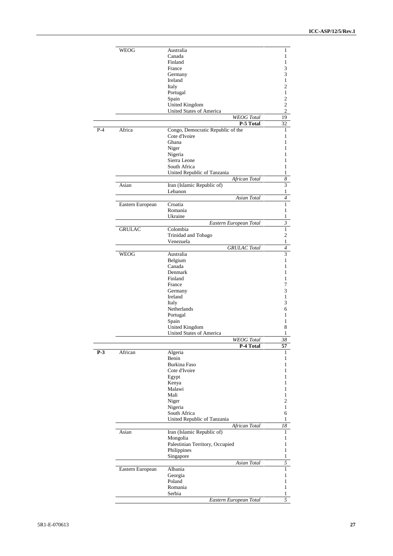|       | WEOG                | Australia                         | 1                |  |  |  |  |  |  |  |  |
|-------|---------------------|-----------------------------------|------------------|--|--|--|--|--|--|--|--|
|       |                     | Canada                            | 1                |  |  |  |  |  |  |  |  |
|       |                     | Finland                           | 1                |  |  |  |  |  |  |  |  |
|       |                     | France                            | 3                |  |  |  |  |  |  |  |  |
|       |                     | Germany                           | 3                |  |  |  |  |  |  |  |  |
|       |                     | Ireland                           | 1                |  |  |  |  |  |  |  |  |
|       |                     | Italy                             | $\overline{c}$   |  |  |  |  |  |  |  |  |
|       |                     | Portugal                          | $\mathbf{1}$     |  |  |  |  |  |  |  |  |
|       |                     |                                   | $\overline{c}$   |  |  |  |  |  |  |  |  |
|       |                     | Spain                             |                  |  |  |  |  |  |  |  |  |
|       |                     | United Kingdom                    | $\overline{c}$   |  |  |  |  |  |  |  |  |
|       |                     | <b>United States of America</b>   | $\overline{c}$   |  |  |  |  |  |  |  |  |
|       |                     | <b>WEOG</b> Total                 | 19<br>32         |  |  |  |  |  |  |  |  |
|       | P-5 Total<br>Africa |                                   |                  |  |  |  |  |  |  |  |  |
| $P-4$ |                     | Congo, Democratic Republic of the | 1                |  |  |  |  |  |  |  |  |
|       |                     | Cote d'Ivoire                     | 1                |  |  |  |  |  |  |  |  |
|       |                     | Ghana                             | 1                |  |  |  |  |  |  |  |  |
|       |                     | Niger                             | 1                |  |  |  |  |  |  |  |  |
|       |                     | Nigeria                           | 1                |  |  |  |  |  |  |  |  |
|       |                     | Sierra Leone                      | 1                |  |  |  |  |  |  |  |  |
|       |                     | South Africa                      | 1                |  |  |  |  |  |  |  |  |
|       |                     | United Republic of Tanzania       | $\mathbf{1}$     |  |  |  |  |  |  |  |  |
|       |                     | African Total                     | $\boldsymbol{8}$ |  |  |  |  |  |  |  |  |
|       |                     |                                   | 3                |  |  |  |  |  |  |  |  |
|       | Asian               | Iran (Islamic Republic of)        |                  |  |  |  |  |  |  |  |  |
|       |                     | Lebanon                           | 1                |  |  |  |  |  |  |  |  |
|       |                     | Asian Total                       | 4                |  |  |  |  |  |  |  |  |
|       | Eastern European    | Croatia                           | $\mathbf{1}$     |  |  |  |  |  |  |  |  |
|       |                     | Romania                           | 1                |  |  |  |  |  |  |  |  |
|       |                     | Ukraine                           | 1                |  |  |  |  |  |  |  |  |
|       |                     | Eastern European Total            | $\mathfrak{Z}$   |  |  |  |  |  |  |  |  |
|       | <b>GRULAC</b>       | Colombia                          | $\mathbf{1}$     |  |  |  |  |  |  |  |  |
|       |                     | Trinidad and Tobago               | $\overline{c}$   |  |  |  |  |  |  |  |  |
|       |                     | Venezuela                         | $\,1$            |  |  |  |  |  |  |  |  |
|       |                     | <b>GRULAC</b> Total               | $\overline{4}$   |  |  |  |  |  |  |  |  |
|       |                     |                                   |                  |  |  |  |  |  |  |  |  |
|       | WEOG                | Australia                         | 3                |  |  |  |  |  |  |  |  |
|       |                     | Belgium                           | 1                |  |  |  |  |  |  |  |  |
|       |                     | Canada                            | 1                |  |  |  |  |  |  |  |  |
|       |                     | Denmark                           | 1                |  |  |  |  |  |  |  |  |
|       |                     | Finland                           | 1                |  |  |  |  |  |  |  |  |
|       |                     | France                            | 7                |  |  |  |  |  |  |  |  |
|       |                     | Germany                           | 3                |  |  |  |  |  |  |  |  |
|       |                     | Ireland                           | $\mathbf{1}$     |  |  |  |  |  |  |  |  |
|       |                     | Italy                             | 3                |  |  |  |  |  |  |  |  |
|       |                     | Netherlands                       |                  |  |  |  |  |  |  |  |  |
|       |                     |                                   | 6                |  |  |  |  |  |  |  |  |
|       |                     | Portugal                          | 1                |  |  |  |  |  |  |  |  |
|       |                     | Spain                             | 1                |  |  |  |  |  |  |  |  |
|       |                     | United Kingdom                    | 8                |  |  |  |  |  |  |  |  |
|       |                     | United States of America          | 1                |  |  |  |  |  |  |  |  |
|       |                     | <b>WEOG</b> Total                 | 38               |  |  |  |  |  |  |  |  |
|       |                     | P-4 Total                         | 57               |  |  |  |  |  |  |  |  |
| $P-3$ | African             | Algeria                           | ı                |  |  |  |  |  |  |  |  |
|       |                     | Benin                             | 1                |  |  |  |  |  |  |  |  |
|       |                     | <b>Burkina Faso</b>               | 1                |  |  |  |  |  |  |  |  |
|       |                     | Cote d'Ivoire                     | 1                |  |  |  |  |  |  |  |  |
|       |                     | Egypt                             | 1                |  |  |  |  |  |  |  |  |
|       |                     | Kenya                             | 1                |  |  |  |  |  |  |  |  |
|       |                     | Malawi                            | 1                |  |  |  |  |  |  |  |  |
|       |                     | Mali                              | 1                |  |  |  |  |  |  |  |  |
|       |                     |                                   | $\overline{c}$   |  |  |  |  |  |  |  |  |
|       |                     | Niger                             |                  |  |  |  |  |  |  |  |  |
|       |                     | Nigeria                           | 1                |  |  |  |  |  |  |  |  |
|       |                     | South Africa                      | 6                |  |  |  |  |  |  |  |  |
|       |                     | United Republic of Tanzania       | $\mathbf{1}$     |  |  |  |  |  |  |  |  |
|       |                     | African Total                     | 18               |  |  |  |  |  |  |  |  |
|       | Asian               | Iran (Islamic Republic of)        | 1                |  |  |  |  |  |  |  |  |
|       |                     | Mongolia                          | 1                |  |  |  |  |  |  |  |  |
|       |                     | Palestinian Territory, Occupied   | 1                |  |  |  |  |  |  |  |  |
|       |                     |                                   | 1                |  |  |  |  |  |  |  |  |
|       |                     | Philippines                       |                  |  |  |  |  |  |  |  |  |
|       |                     | Singapore                         | 1                |  |  |  |  |  |  |  |  |
|       |                     | Asian Total                       | 5                |  |  |  |  |  |  |  |  |
|       | Eastern European    | Albania                           | $\mathbf{1}$     |  |  |  |  |  |  |  |  |
|       |                     | Georgia                           | 1                |  |  |  |  |  |  |  |  |
|       |                     | Poland                            | 1                |  |  |  |  |  |  |  |  |
|       |                     | Romania                           | 1                |  |  |  |  |  |  |  |  |
|       |                     | Serbia                            | $\mathbf{1}$     |  |  |  |  |  |  |  |  |
|       |                     | Eastern European Total            | 5                |  |  |  |  |  |  |  |  |
|       |                     |                                   |                  |  |  |  |  |  |  |  |  |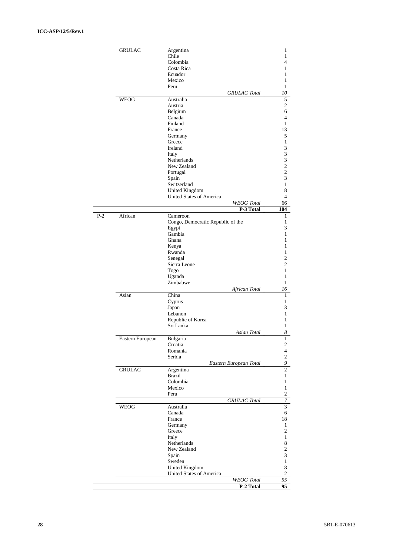|       | <b>GRULAC</b>    | Argentina                                     | 1                                |
|-------|------------------|-----------------------------------------------|----------------------------------|
|       |                  | Chile<br>Colombia                             | 1<br>$\overline{4}$              |
|       |                  | Costa Rica                                    | 1                                |
|       |                  | Ecuador                                       | 1                                |
|       |                  | Mexico                                        | $\mathbf{1}$                     |
|       |                  | Peru                                          | 1                                |
|       |                  | <b>GRULAC</b> Total                           | 10                               |
|       | WEOG             | Australia                                     | $\mathfrak s$                    |
|       |                  | Austria                                       | $\sqrt{2}$                       |
|       |                  | Belgium<br>Canada                             | 6<br>$\overline{4}$              |
|       |                  | Finland                                       | 1                                |
|       |                  | France                                        | 13                               |
|       |                  | Germany                                       | 5                                |
|       |                  | Greece                                        | 1                                |
|       |                  | Ireland                                       | 3                                |
|       |                  | Italy                                         | 3                                |
|       |                  | <b>Netherlands</b>                            | 3                                |
|       |                  | New Zealand<br>Portugal                       | $\overline{c}$<br>$\overline{c}$ |
|       |                  | Spain                                         | 3                                |
|       |                  | Switzerland                                   | $\mathbf{1}$                     |
|       |                  | <b>United Kingdom</b>                         | 8                                |
|       |                  | <b>United States of America</b>               | $\overline{4}$                   |
|       |                  | <b>WEOG</b> Total                             | 66                               |
|       |                  | P-3 Total                                     | 104                              |
| $P-2$ | African          | Cameroon<br>Congo, Democratic Republic of the | 1<br>1                           |
|       |                  | Egypt                                         | 3                                |
|       |                  | Gambia                                        | 1                                |
|       |                  | Ghana                                         | 1                                |
|       |                  | Kenya                                         | 1                                |
|       |                  | Rwanda                                        | 1                                |
|       |                  | Senegal                                       | $\overline{c}$                   |
|       |                  | Sierra Leone                                  | $\overline{c}$                   |
|       |                  | Togo<br>Uganda                                | $\mathbf{1}$<br>1                |
|       |                  | Zimbabwe                                      | $\mathbf{1}$                     |
|       |                  | African Total                                 | 16                               |
|       | Asian            | China                                         | 1                                |
|       |                  | Cyprus                                        | 1                                |
|       |                  | Japan                                         | 3                                |
|       |                  | Lebanon                                       | 1<br>$\mathbf{1}$                |
|       |                  | Republic of Korea<br>Sri Lanka                | 1                                |
|       |                  | Asian Total                                   | 8                                |
|       | Eastern European | Bulgaria                                      | $\mathbf{I}$                     |
|       |                  | Croatia                                       | $\sqrt{2}$                       |
|       |                  | Romania                                       | $\overline{4}$                   |
|       |                  | Serbia                                        | $\sqrt{2}$                       |
|       |                  | Eastern European Total                        | $\overline{9}$                   |
|       | <b>GRULAC</b>    | Argentina                                     | $\overline{c}$                   |
|       |                  | <b>Brazil</b><br>Colombia                     | $\mathbf{1}$<br>$\mathbf{1}$     |
|       |                  | Mexico                                        | $\mathbf{1}$                     |
|       |                  | Peru                                          | $\overline{c}$                   |
|       |                  | <b>GRULAC</b> Total                           | $\overline{7}$                   |
|       | <b>WEOG</b>      | Australia                                     | 3                                |
|       |                  | Canada                                        | 6                                |
|       |                  | France                                        | 18                               |
|       |                  | Germany                                       | 1                                |
|       |                  | Greece                                        | $\overline{2}$                   |
|       |                  | Italy                                         | $\mathbf{1}$                     |
|       |                  | Netherlands<br>New Zealand                    | $\,$ 8 $\,$<br>$\overline{c}$    |
|       |                  | Spain                                         | $\sqrt{3}$                       |
|       |                  | Sweden                                        | $\mathbf{1}$                     |
|       |                  | <b>United Kingdom</b>                         | $\,$ 8 $\,$                      |
|       |                  | United States of America                      | $\overline{2}$                   |
|       |                  | <b>WEOG</b> Total                             | 55                               |
|       |                  | P-2 Total                                     | 95                               |
|       |                  |                                               |                                  |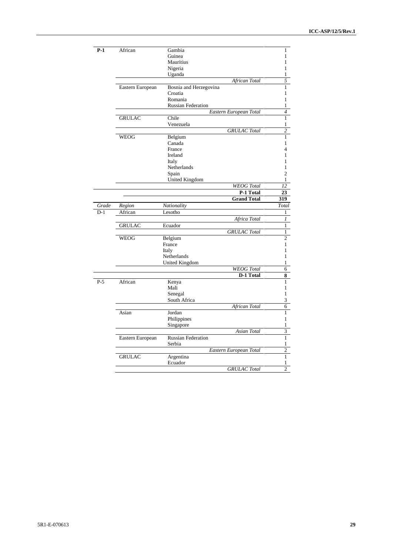| $P-1$ | African          | Gambia                               |                        | 1                       |  |  |  |  |  |
|-------|------------------|--------------------------------------|------------------------|-------------------------|--|--|--|--|--|
|       |                  | Guinea                               |                        | $\mathbf{1}$            |  |  |  |  |  |
|       |                  | Mauritius                            |                        | 1                       |  |  |  |  |  |
|       |                  | Nigeria                              |                        | 1                       |  |  |  |  |  |
|       |                  | Uganda                               |                        | 1                       |  |  |  |  |  |
|       | African Total    |                                      |                        |                         |  |  |  |  |  |
|       | Eastern European | Bosnia and Herzegovina               |                        | $\mathbf{1}$            |  |  |  |  |  |
|       |                  | Croatia                              |                        | 1                       |  |  |  |  |  |
|       |                  | Romania                              |                        | $\mathbf{1}$            |  |  |  |  |  |
|       |                  | <b>Russian Federation</b>            |                        | $\mathbf{1}$            |  |  |  |  |  |
|       |                  |                                      | Eastern European Total | $\overline{4}$          |  |  |  |  |  |
|       | <b>GRULAC</b>    | Chile                                |                        | 1                       |  |  |  |  |  |
|       |                  | Venezuela                            |                        | 1                       |  |  |  |  |  |
|       |                  |                                      | <b>GRULAC</b> Total    | $\overline{c}$          |  |  |  |  |  |
|       | <b>WEOG</b>      | Belgium                              |                        | $\mathbf{1}$            |  |  |  |  |  |
|       |                  | Canada<br>France                     |                        | $\mathbf{1}$<br>4       |  |  |  |  |  |
|       |                  | Ireland                              |                        | $\mathbf{1}$            |  |  |  |  |  |
|       |                  | Italy                                |                        | 1                       |  |  |  |  |  |
|       |                  | Netherlands                          |                        | $\mathbf{1}$            |  |  |  |  |  |
|       |                  | Spain                                |                        | $\overline{c}$          |  |  |  |  |  |
|       |                  | <b>United Kingdom</b>                |                        | $\mathbf{1}$            |  |  |  |  |  |
|       |                  |                                      | <b>WEOG</b> Total      | 12                      |  |  |  |  |  |
|       |                  |                                      | P-1 Total              | 23                      |  |  |  |  |  |
|       |                  |                                      | <b>Grand Total</b>     | 319                     |  |  |  |  |  |
| Grade | Region           | Nationality                          |                        | Total                   |  |  |  |  |  |
| $D-1$ | African          | Lesotho                              |                        | $\mathbf{1}$            |  |  |  |  |  |
|       |                  |                                      | Africa Total           | 1                       |  |  |  |  |  |
|       | <b>GRULAC</b>    | Ecuador                              |                        | $\mathbf{1}$            |  |  |  |  |  |
|       |                  |                                      | <b>GRULAC</b> Total    | $\mathbf{1}$            |  |  |  |  |  |
|       | <b>WEOG</b>      | Belgium                              |                        | $\overline{2}$          |  |  |  |  |  |
|       |                  | France                               |                        | $\mathbf{1}$            |  |  |  |  |  |
|       |                  | Italy                                |                        | $\mathbf{1}$<br>1       |  |  |  |  |  |
|       |                  | Netherlands<br><b>United Kingdom</b> |                        | 1                       |  |  |  |  |  |
|       |                  |                                      | <b>WEOG</b> Total      | 6                       |  |  |  |  |  |
|       |                  |                                      | D-1 Total              | 8                       |  |  |  |  |  |
| $P-5$ | African          | Kenya                                |                        | $\mathbf{1}$            |  |  |  |  |  |
|       |                  | Mali                                 |                        | $\mathbf{1}$            |  |  |  |  |  |
|       |                  | Senegal                              |                        | $\mathbf{1}$            |  |  |  |  |  |
|       |                  | South Africa                         |                        | $\overline{\mathbf{3}}$ |  |  |  |  |  |
|       |                  |                                      | African Total          | $\overline{6}$          |  |  |  |  |  |
|       | Asian            | Jordan                               |                        | $\mathbf{1}$            |  |  |  |  |  |
|       |                  | Philippines                          |                        | $\mathbf{1}$            |  |  |  |  |  |
|       |                  | Singapore                            |                        | $\mathbf{1}$            |  |  |  |  |  |
|       |                  |                                      | Asian Total            | $\overline{\mathbf{3}}$ |  |  |  |  |  |
|       | Eastern European | <b>Russian Federation</b>            |                        | $\mathbf{1}$            |  |  |  |  |  |
|       |                  | Serbia                               |                        | 1                       |  |  |  |  |  |
|       |                  |                                      | Eastern European Total | $\overline{2}$          |  |  |  |  |  |
|       | <b>GRULAC</b>    | Argentina                            |                        | $\mathbf{1}$            |  |  |  |  |  |
|       |                  | Ecuador                              |                        | $\mathbf{1}$            |  |  |  |  |  |
|       |                  |                                      | <b>GRULAC</b> Total    | $\overline{2}$          |  |  |  |  |  |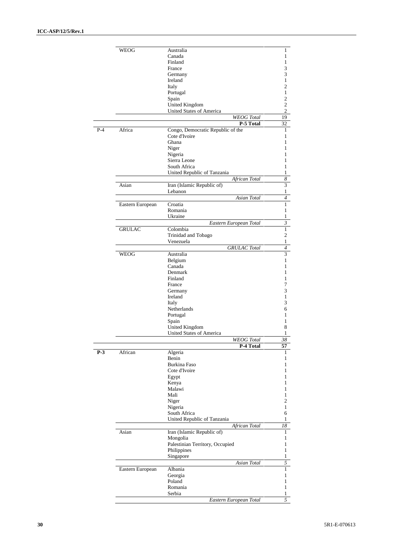|       | WEOG             | Australia                                         | 1                |
|-------|------------------|---------------------------------------------------|------------------|
|       |                  | Canada                                            | 1                |
|       |                  | Finland                                           | 1                |
|       |                  | France                                            | 3                |
|       |                  | Germany                                           | 3                |
|       |                  | Ireland                                           | 1                |
|       |                  | Italy                                             | $\overline{c}$   |
|       |                  | Portugal                                          | $\mathbf{1}$     |
|       |                  | Spain                                             | $\overline{c}$   |
|       |                  |                                                   | $\overline{c}$   |
|       |                  | United Kingdom<br><b>United States of America</b> | $\overline{c}$   |
|       |                  | <b>WEOG</b> Total                                 |                  |
|       |                  |                                                   | 19               |
|       |                  | P-5 Total                                         | 32               |
| $P-4$ | Africa           | Congo, Democratic Republic of the                 | 1                |
|       |                  | Cote d'Ivoire                                     | 1                |
|       |                  | Ghana                                             | 1                |
|       |                  | Niger                                             | 1                |
|       |                  | Nigeria                                           | 1                |
|       |                  | Sierra Leone                                      | 1                |
|       |                  | South Africa                                      | 1                |
|       |                  | United Republic of Tanzania                       | 1                |
|       |                  | African Total                                     | $\boldsymbol{8}$ |
|       | Asian            | Iran (Islamic Republic of)                        | 3                |
|       |                  | Lebanon                                           | 1                |
|       |                  | Asian Total                                       | 4                |
|       |                  |                                                   |                  |
|       | Eastern European | Croatia                                           | $\mathbf{1}$     |
|       |                  | Romania                                           | 1                |
|       |                  | Ukraine                                           | 1                |
|       |                  | Eastern European Total                            | $\mathfrak{Z}$   |
|       | <b>GRULAC</b>    | Colombia                                          | $\mathbf{1}$     |
|       |                  | Trinidad and Tobago                               | $\overline{c}$   |
|       |                  | Venezuela                                         | $\mathbf{1}$     |
|       |                  | <b>GRULAC</b> Total                               | $\overline{4}$   |
|       | WEOG             | Australia                                         | 3                |
|       |                  | Belgium                                           | 1                |
|       |                  | Canada                                            | 1                |
|       |                  | Denmark                                           | 1                |
|       |                  |                                                   |                  |
|       |                  | Finland                                           | 1                |
|       |                  | France                                            | 7                |
|       |                  | Germany                                           | 3                |
|       |                  | Ireland                                           | 1                |
|       |                  | Italy                                             | 3                |
|       |                  | Netherlands                                       | 6                |
|       |                  | Portugal                                          | 1                |
|       |                  | Spain                                             | 1                |
|       |                  | United Kingdom                                    | 8                |
|       |                  | United States of America                          | 1                |
|       |                  | <b>WEOG</b> Total                                 | 38               |
|       |                  | P-4 Total                                         | 57               |
| $P-3$ | African          | Algeria                                           | ı                |
|       |                  | Benin                                             | 1                |
|       |                  | Burkina Faso                                      | 1                |
|       |                  |                                                   |                  |
|       |                  | Cote d'Ivoire                                     | 1                |
|       |                  | Egypt                                             | 1                |
|       |                  | Kenya                                             | 1                |
|       |                  | Malawi                                            | 1                |
|       |                  | Mali                                              | 1                |
|       |                  | Niger                                             | $\overline{c}$   |
|       |                  | Nigeria                                           | 1                |
|       |                  | South Africa                                      | 6                |
|       |                  | United Republic of Tanzania                       | 1                |
|       |                  | African Total                                     | 18               |
|       | Asian            | Iran (Islamic Republic of)                        | 1                |
|       |                  | Mongolia                                          | 1                |
|       |                  |                                                   |                  |
|       |                  | Palestinian Territory, Occupied                   | 1                |
|       |                  | Philippines                                       | 1                |
|       |                  | Singapore                                         | 1                |
|       |                  | Asian Total                                       | 5                |
|       | Eastern European | Albania                                           | 1                |
|       |                  | Georgia                                           | 1                |
|       |                  | Poland                                            | 1                |
|       |                  | Romania                                           | 1                |
|       |                  | Serbia                                            | 1                |
|       |                  | Eastern European Total                            | 5                |
|       |                  |                                                   |                  |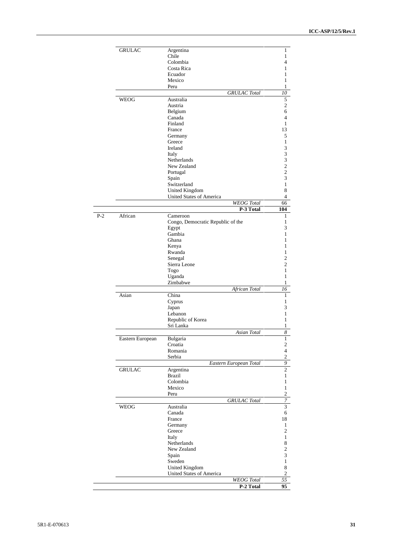|       | <b>GRULAC</b>    | Argentina                         | 1                                |
|-------|------------------|-----------------------------------|----------------------------------|
|       |                  | Chile                             | $\mathbf{1}$                     |
|       |                  | Colombia<br>Costa Rica            | 4<br>1                           |
|       |                  | Ecuador                           | 1                                |
|       |                  | Mexico                            | 1                                |
|       |                  | Peru                              | $\mathbf{1}$                     |
|       |                  | <b>GRULAC</b> Total               | 10                               |
|       | <b>WEOG</b>      | Australia                         | $\sqrt{5}$                       |
|       |                  | Austria<br>Belgium                | $\overline{c}$<br>6              |
|       |                  | Canada                            | $\overline{4}$                   |
|       |                  | Finland                           | 1                                |
|       |                  | France                            | 13                               |
|       |                  | Germany                           | 5                                |
|       |                  | Greece<br>Ireland                 | $\mathbf{1}$<br>3                |
|       |                  | Italy                             | 3                                |
|       |                  | Netherlands                       | 3                                |
|       |                  | New Zealand                       | $\overline{c}$                   |
|       |                  | Portugal<br>Spain                 | $\overline{c}$<br>3              |
|       |                  | Switzerland                       | $\mathbf{1}$                     |
|       |                  | <b>United Kingdom</b>             | 8                                |
|       |                  | <b>United States of America</b>   | 4                                |
|       |                  | <b>WEOG</b> Total                 | 66                               |
| $P-2$ | African          | P-3 Total<br>Cameroon             | 104<br>1                         |
|       |                  | Congo, Democratic Republic of the | 1                                |
|       |                  | Egypt                             | 3                                |
|       |                  | Gambia                            | 1                                |
|       |                  | Ghana<br>Kenya                    | $\mathbf{1}$<br>1                |
|       |                  | Rwanda                            | $\mathbf{1}$                     |
|       |                  | Senegal                           | $\overline{c}$                   |
|       |                  | Sierra Leone                      | $\overline{c}$                   |
|       |                  | Togo                              | $\mathbf{1}$                     |
|       |                  | Uganda<br>Zimbabwe                | $\mathbf{1}$<br>$\mathbf{1}$     |
|       |                  | African Total                     | 16                               |
|       | Asian            | China                             | $\mathbf{1}$                     |
|       |                  | Cyprus                            | $\mathbf{1}$                     |
|       |                  | Japan<br>Lebanon                  | 3<br>1                           |
|       |                  | Republic of Korea                 | 1                                |
|       |                  | Sri Lanka                         | 1                                |
|       |                  | Asian Total                       | 8                                |
|       | Eastern European | Bulgaria                          | $\mathbf{1}$                     |
|       |                  | Croatia<br>Romania                | $\overline{c}$<br>$\overline{4}$ |
|       |                  | Serbia                            | $\overline{c}$                   |
|       |                  | Eastern European Total            | 9                                |
|       | <b>GRULAC</b>    | Argentina                         | $\overline{c}$                   |
|       |                  | <b>Brazil</b><br>Colombia         | $\mathbf{1}$<br>$\mathbf{1}$     |
|       |                  | Mexico                            | $\mathbf{1}$                     |
|       |                  | Peru                              | $\overline{c}$                   |
|       |                  | <b>GRULAC</b> Total               | $\boldsymbol{7}$                 |
|       | <b>WEOG</b>      | Australia                         | $\overline{\mathbf{3}}$          |
|       |                  | Canada                            | 6                                |
|       |                  | France<br>Germany                 | 18<br>$\mathbf{1}$               |
|       |                  | Greece                            | $\overline{c}$                   |
|       |                  | Italy                             | $\mathbf{1}$                     |
|       |                  | Netherlands                       | 8                                |
|       |                  | New Zealand                       | $\sqrt{2}$                       |
|       |                  | Spain                             | 3<br>$\mathbf{1}$                |
|       |                  | Sweden<br><b>United Kingdom</b>   | $\,$ 8 $\,$                      |
|       |                  | <b>United States of America</b>   | $\mathbf{2}$                     |
|       |                  | <b>WEOG</b> Total                 | 55                               |
|       |                  | P-2 Total                         | 95                               |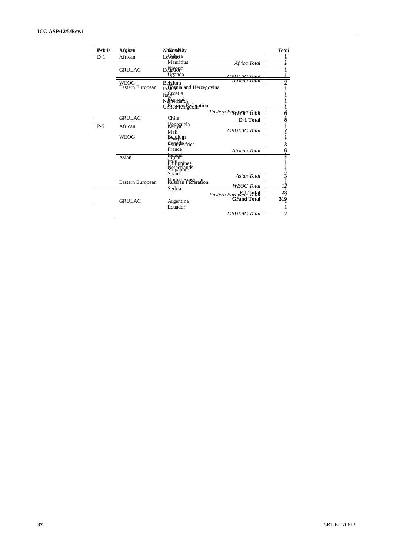| <b>B</b> rade | Régian           | NeGranndphiaty                           |                        | Total          |
|---------------|------------------|------------------------------------------|------------------------|----------------|
| $D-1$         | African          | Lesimoa                                  |                        |                |
|               |                  | Mauritius                                | Africa Total           |                |
|               | <b>GRULAC</b>    | Ecuadoria                                |                        |                |
|               |                  | Uganda                                   | GRULAC Total           |                |
|               | <b>WEOG</b>      | Belgium                                  | African Total          |                |
|               | Eastern European | Francepia and Herzegovina                |                        |                |
|               |                  | Italyoatia                               |                        |                |
|               |                  | Netherrania <sub>s</sub>                 |                        |                |
|               |                  | JRHSSPRILE Edgration                     |                        |                |
|               |                  |                                          | Eastern Europeen Fotal |                |
|               | <b>GRULAC</b>    | Chile                                    | D-1 Total              |                |
| $P-5$         | African          | Kenezuela                                |                        |                |
|               |                  | Mali                                     | <b>GRULAC</b> Total    |                |
|               | <b>WEOG</b>      | Behsiyin                                 |                        |                |
|               |                  | Sennon Africa                            |                        | j              |
|               |                  | France                                   | African Total          | ŧ              |
|               | Asian            | <b>FGland</b>                            |                        |                |
|               |                  |                                          |                        |                |
|               |                  | Fillippines<br>Netherlands<br>Strigapone |                        |                |
|               |                  |                                          | <b>Asian Total</b>     |                |
|               | Eastern European | United Kingdom<br>Russian Federati       |                        |                |
|               |                  | Serbia                                   | <b>WEOG</b> Total      |                |
|               |                  |                                          | Eastern European Total | 23             |
|               | GRULAC           | Argentina                                | <b>Grand Total</b>     | 319            |
|               |                  | Ecuador                                  |                        |                |
|               |                  |                                          | <b>GRULAC</b> Total    | $\overline{2}$ |
|               |                  |                                          |                        |                |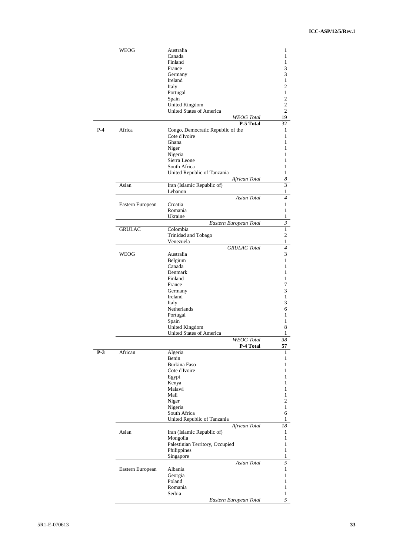|       | WEOG             | Australia                         | 1                |
|-------|------------------|-----------------------------------|------------------|
|       |                  | Canada                            | 1                |
|       |                  | Finland                           | 1                |
|       |                  | France                            | 3                |
|       |                  | Germany                           | 3                |
|       |                  | Ireland                           | 1                |
|       |                  | Italy                             | $\overline{c}$   |
|       |                  | Portugal                          | $\mathbf{1}$     |
|       |                  |                                   | $\overline{c}$   |
|       |                  | Spain                             |                  |
|       |                  | United Kingdom                    | $\overline{c}$   |
|       |                  | <b>United States of America</b>   | $\overline{c}$   |
|       |                  | <b>WEOG</b> Total                 | 19               |
|       |                  | P-5 Total                         | 32               |
| $P-4$ | Africa           | Congo, Democratic Republic of the | 1                |
|       |                  | Cote d'Ivoire                     | 1                |
|       |                  | Ghana                             | 1                |
|       |                  | Niger                             | 1                |
|       |                  | Nigeria                           | 1                |
|       |                  | Sierra Leone                      | 1                |
|       |                  | South Africa                      | 1                |
|       |                  | United Republic of Tanzania       | $\mathbf{1}$     |
|       |                  | African Total                     | $\boldsymbol{8}$ |
|       |                  |                                   | 3                |
|       | Asian            | Iran (Islamic Republic of)        |                  |
|       |                  | Lebanon                           | 1                |
|       |                  | Asian Total                       | 4                |
|       | Eastern European | Croatia                           | $\mathbf{1}$     |
|       |                  | Romania                           | 1                |
|       |                  | Ukraine                           | 1                |
|       |                  | Eastern European Total            | $\mathfrak{Z}$   |
|       | <b>GRULAC</b>    | Colombia                          | $\mathbf{1}$     |
|       |                  | Trinidad and Tobago               | $\overline{c}$   |
|       |                  | Venezuela                         | $\,1$            |
|       |                  | <b>GRULAC</b> Total               | $\overline{4}$   |
|       |                  |                                   |                  |
|       | WEOG             | Australia                         | 3                |
|       |                  | Belgium                           | 1                |
|       |                  | Canada                            | 1                |
|       |                  | Denmark                           | 1                |
|       |                  | Finland                           | 1                |
|       |                  | France                            | 7                |
|       |                  | Germany                           | 3                |
|       |                  | Ireland                           | $\mathbf{1}$     |
|       |                  | Italy                             | 3                |
|       |                  | Netherlands                       |                  |
|       |                  |                                   | 6                |
|       |                  | Portugal                          | 1                |
|       |                  | Spain                             | 1                |
|       |                  | United Kingdom                    | 8                |
|       |                  | United States of America          | 1                |
|       |                  | <b>WEOG</b> Total                 | 38               |
|       |                  | P-4 Total                         | 57               |
| $P-3$ | African          | Algeria                           | ı                |
|       |                  | Benin                             | 1                |
|       |                  | <b>Burkina Faso</b>               | 1                |
|       |                  | Cote d'Ivoire                     | 1                |
|       |                  | Egypt                             | 1                |
|       |                  | Kenya                             | 1                |
|       |                  | Malawi                            | 1                |
|       |                  | Mali                              | 1                |
|       |                  |                                   | $\overline{c}$   |
|       |                  | Niger                             |                  |
|       |                  | Nigeria                           | 1                |
|       |                  | South Africa                      | 6                |
|       |                  | United Republic of Tanzania       | $\mathbf{1}$     |
|       |                  | African Total                     | 18               |
|       | Asian            | Iran (Islamic Republic of)        | 1                |
|       |                  | Mongolia                          | 1                |
|       |                  | Palestinian Territory, Occupied   | 1                |
|       |                  |                                   | 1                |
|       |                  | Philippines                       |                  |
|       |                  | Singapore                         | 1                |
|       |                  | Asian Total                       | 5                |
|       | Eastern European | Albania                           | $\mathbf{1}$     |
|       |                  | Georgia                           | 1                |
|       |                  | Poland                            | 1                |
|       |                  | Romania                           | 1                |
|       |                  | Serbia                            | $\mathbf{1}$     |
|       |                  | Eastern European Total            | 5                |
|       |                  |                                   |                  |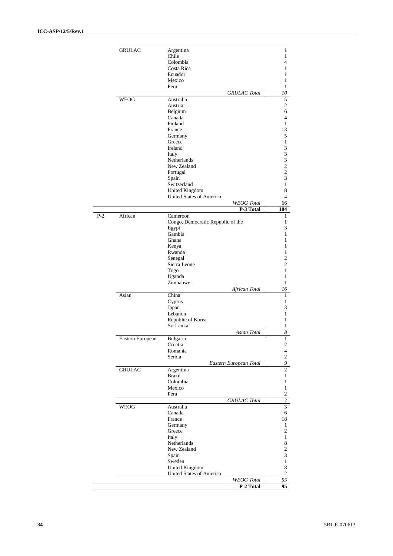|       | <b>GRULAC</b>    | Argentina                                     | 1                                |
|-------|------------------|-----------------------------------------------|----------------------------------|
|       |                  | Chile<br>Colombia                             | 1<br>$\overline{4}$              |
|       |                  | Costa Rica                                    | 1                                |
|       |                  | Ecuador                                       | 1                                |
|       |                  | Mexico                                        | $\mathbf{1}$                     |
|       |                  | Peru                                          | 1                                |
|       |                  | <b>GRULAC</b> Total                           | 10                               |
|       | WEOG             | Australia                                     | $\mathfrak s$                    |
|       |                  | Austria                                       | $\sqrt{2}$                       |
|       |                  | Belgium<br>Canada                             | 6<br>$\overline{4}$              |
|       |                  | Finland                                       | 1                                |
|       |                  | France                                        | 13                               |
|       |                  | Germany                                       | 5                                |
|       |                  | Greece                                        | 1                                |
|       |                  | Ireland                                       | 3                                |
|       |                  | Italy                                         | 3                                |
|       |                  | <b>Netherlands</b>                            | 3                                |
|       |                  | New Zealand<br>Portugal                       | $\overline{c}$<br>$\overline{c}$ |
|       |                  | Spain                                         | 3                                |
|       |                  | Switzerland                                   | $\mathbf{1}$                     |
|       |                  | <b>United Kingdom</b>                         | 8                                |
|       |                  | <b>United States of America</b>               | $\overline{4}$                   |
|       |                  | <b>WEOG</b> Total                             | 66                               |
|       |                  | P-3 Total                                     | 104                              |
| $P-2$ | African          | Cameroon<br>Congo, Democratic Republic of the | 1<br>1                           |
|       |                  | Egypt                                         | 3                                |
|       |                  | Gambia                                        | 1                                |
|       |                  | Ghana                                         | 1                                |
|       |                  | Kenya                                         | 1                                |
|       |                  | Rwanda                                        | 1                                |
|       |                  | Senegal                                       | $\overline{c}$                   |
|       |                  | Sierra Leone                                  | $\overline{c}$                   |
|       |                  | Togo<br>Uganda                                | $\mathbf{1}$<br>1                |
|       |                  | Zimbabwe                                      | $\mathbf{1}$                     |
|       |                  | African Total                                 | 16                               |
|       | Asian            | China                                         | 1                                |
|       |                  | Cyprus                                        | 1                                |
|       |                  | Japan                                         | 3                                |
|       |                  | Lebanon                                       | 1<br>$\mathbf{1}$                |
|       |                  | Republic of Korea<br>Sri Lanka                | 1                                |
|       |                  | Asian Total                                   | 8                                |
|       | Eastern European | Bulgaria                                      | $\mathbf{I}$                     |
|       |                  | Croatia                                       | $\sqrt{2}$                       |
|       |                  | Romania                                       | $\overline{4}$                   |
|       |                  | Serbia                                        | $\sqrt{2}$                       |
|       |                  | Eastern European Total                        | $\overline{9}$                   |
|       | <b>GRULAC</b>    | Argentina                                     | $\overline{c}$                   |
|       |                  | <b>Brazil</b><br>Colombia                     | $\mathbf{1}$<br>$\mathbf{1}$     |
|       |                  | Mexico                                        | $\mathbf{1}$                     |
|       |                  | Peru                                          | $\overline{c}$                   |
|       |                  | <b>GRULAC</b> Total                           | $\overline{7}$                   |
|       | <b>WEOG</b>      | Australia                                     | 3                                |
|       |                  | Canada                                        | 6                                |
|       |                  | France                                        | 18                               |
|       |                  | Germany                                       | 1                                |
|       |                  | Greece                                        | $\overline{2}$                   |
|       |                  | Italy                                         | $\mathbf{1}$                     |
|       |                  | Netherlands<br>New Zealand                    | $\,$ 8 $\,$<br>$\overline{c}$    |
|       |                  | Spain                                         | $\sqrt{3}$                       |
|       |                  | Sweden                                        | $\mathbf{1}$                     |
|       |                  | <b>United Kingdom</b>                         | $\,$ 8 $\,$                      |
|       |                  | United States of America                      | $\overline{2}$                   |
|       |                  | <b>WEOG</b> Total                             | 55                               |
|       |                  | P-2 Total                                     | 95                               |
|       |                  |                                               |                                  |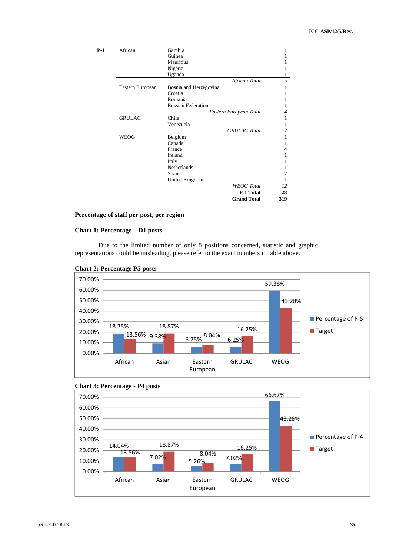| $P-1$ | African          | Gambia<br>Guinea          |                |
|-------|------------------|---------------------------|----------------|
|       |                  | Mauritius                 |                |
|       |                  | Nigeria                   |                |
|       |                  | Uganda                    |                |
|       |                  | African Total             | 5              |
|       | Eastern European | Bosnia and Herzegovina    |                |
|       |                  | Croatia                   |                |
|       |                  | Romania                   |                |
|       |                  | <b>Russian Federation</b> |                |
|       |                  | Eastern European Total    | $\overline{4}$ |
|       | <b>GRULAC</b>    | Chile                     |                |
|       |                  | Venezuela                 |                |
|       |                  | <b>GRULAC</b> Total       | $\overline{c}$ |
|       | <b>WEOG</b>      | Belgium                   |                |
|       |                  | Canada                    |                |
|       |                  | France                    |                |
|       |                  | Ireland                   |                |
|       |                  | Italy                     |                |
|       |                  | Netherlands               |                |
|       |                  | Spain                     | 2              |
|       |                  | United Kingdom            |                |
|       |                  | <b>WEOG</b> Total         | 12             |
|       |                  | P-1 Total                 | 23             |
|       |                  | <b>Grand Total</b>        | 319            |

#### **Percentage of staff per post, per region**

#### **Chart 1: Percentage – D1 posts**

Due to the limited number of only 8 positions concerned, statistic and graphic representations could be misleading, please refer to the exact numbers in table above.







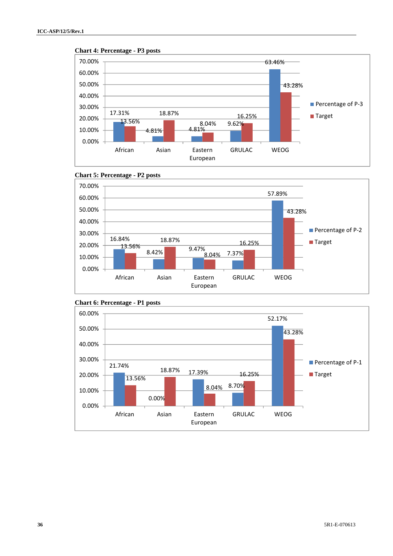





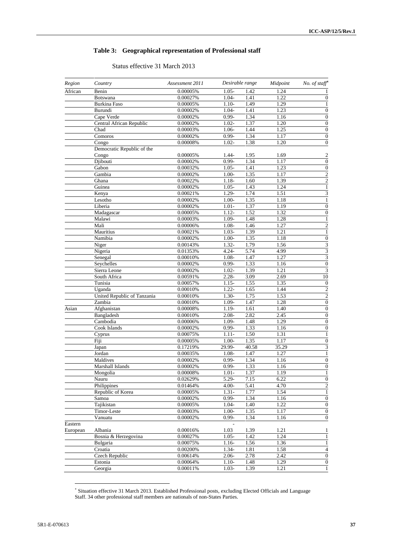#### **Table 3: Geographical representation of Professional staff**

#### Status effective 31 March 2013

| Region   | Country                     | Assessment 2011 | Desirable range |       | Midpoint | No. of staff             |
|----------|-----------------------------|-----------------|-----------------|-------|----------|--------------------------|
| African  | Benin                       | 0.00005%        | $1.05 -$        | 1.42  | 1.24     |                          |
|          | <b>Botswana</b>             | 0.00027%        | $1.04-$         | 1.41  | 1.22     | $\boldsymbol{0}$         |
|          | Burkina Faso                | 0.00005%        | $1.10-$         | 1.49  | 1.29     | 1                        |
|          | Burundi                     | 0.00002%        | $1.04 -$        | 1.41  | 1.23     | $\overline{0}$           |
|          | Cape Verde                  | 0.00002%        | $0.99 -$        | 1.34  | 1.16     | $\mathbf{0}$             |
|          | Central African Republic    | 0.00002%        | $1.02 -$        | 1.37  | 1.20     | $\overline{0}$           |
|          | Chad                        | 0.00003%        | $1.06 -$        | 1.44  | 1.25     | $\overline{0}$           |
|          | Comoros                     | 0.00002%        | $0.99 -$        | 1.34  | 1.17     | $\boldsymbol{0}$         |
|          | Congo                       | 0.00008%        | $1.02 -$        | 1.38  | 1.20     | $\overline{0}$           |
|          | Democratic Republic of the  |                 |                 |       |          |                          |
|          | Congo                       | 0.00005%        | 1.44-           | 1.95  | 1.69     | 2                        |
|          | Djibouti                    | 0.00002%        | $0.99 -$        | 1.34  | 1.17     | $\overline{0}$           |
|          | Gabon                       | 0.00032%        | $1.05 -$        | 1.41  | 1.23     | $\boldsymbol{0}$         |
|          | Gambia                      | 0.00002%        | $1.00-$         | 1.35  | 1.17     | $\overline{c}$           |
|          | Ghana                       | 0.00022%        | $1.18 -$        | 1.60  | 1.39     | $\overline{2}$           |
|          | Guinea                      | 0.00002%        | $1.05 -$        | 1.43  | 1.24     | $\,1$                    |
|          | Kenya                       | 0.00021%        | $1.29 -$        | 1.74  | 1.51     | 3                        |
|          | Lesotho                     | 0.00002%        | $1.00 -$        | 1.35  | 1.18     | $\mathbf{1}$             |
|          | Liberia                     | 0.00002%        | $1.01 -$        | 1.37  | 1.19     | $\boldsymbol{0}$         |
|          | Madagascar                  | 0.00005%        | $1.12 -$        | 1.52  | 1.32     | $\overline{0}$           |
|          | Malawi                      | 0.00003%        | 1.09-           | 1.48  | 1.28     | $\mathbf{1}$             |
|          | Mali                        | 0.00006%        | $1.08 -$        | 1.46  | 1.27     | $\overline{c}$           |
|          | Mauritius                   | 0.00021%        | $1.03-$         | 1.39  | 1.21     | $\mathbf{1}$             |
|          | Namibia                     | 0.00002%        | $1.00 -$        | 1.35  | 1.18     | $\boldsymbol{0}$         |
|          | Niger                       | 0.00143%        | $1.32 -$        | 1.79  | 1.56     | 3                        |
|          | Nigeria                     | 0.01353%        | $4.24 -$        | 5.74  | 4.99     | $\overline{\mathbf{3}}$  |
|          | Senegal                     | 0.00010%        | $1.08 -$        | 1.47  | 1.27     | 3                        |
|          | Seychelles                  | 0.00002%        | $0.99 -$        | 1.33  | 1.16     | $\overline{0}$           |
|          | Sierra Leone                | 0.00002%        | $1.02 -$        | 1.39  | 1.21     | $\overline{\mathbf{3}}$  |
|          | South Africa                | 0.00591%        | $2.28 -$        | 3.09  | 2.69     | $\overline{10}$          |
|          | Tunisia                     | 0.00057%        | $1.15 -$        | 1.55  | 1.35     | $\boldsymbol{0}$         |
|          | Uganda                      | 0.00010%        | $1.22 -$        | 1.65  | 1.44     | $\overline{2}$           |
|          | United Republic of Tanzania | 0.00010%        | $1.30-$         | 1.75  | 1.53     | $\overline{2}$           |
|          | Zambia                      | 0.00010%        | $1.09 -$        | 1.47  | 1.28     | $\overline{0}$           |
| Asian    | Afghanistan                 | 0.00008%        | $1.19-$         | 1.61  | 1.40     | $\boldsymbol{0}$         |
|          | Bangladesh                  | 0.00010%        | $2.08 -$        | 2.82  | 2.45     | $\boldsymbol{0}$         |
|          | Cambodia                    | 0.00006%        | $1.09 -$        | 1.48  | 1.29     | $\boldsymbol{0}$         |
|          | Cook Islands                | 0.00002%        | $0.99 -$        | 1.33  | 1.16     | $\overline{0}$           |
|          | Cyprus                      | 0.00075%        | $1.11 -$        | 1.50  | 1.31     | $\mathbf{1}$             |
|          | Fiji                        | 0.00005%        | $1.00 -$        | 1.35  | 1.17     | $\overline{0}$           |
|          | Japan                       | 0.17219%        | 29.99-          | 40.58 | 35.29    | 3                        |
|          | Jordan                      | 0.00035%        | $1.08 -$        | 1.47  | 1.27     | $\mathbf{1}$             |
|          | Maldives                    | 0.00002%        | $0.99 -$        | 1.34  | 1.16     | 0                        |
|          | Marshall Islands            | 0.00002%        | $0.99 -$        | 1.33  | 1.16     | $\boldsymbol{0}$         |
|          | Mongolia                    | $0.00008\%$     | $1.01 -$        | 1.37  | 1.19     | 1                        |
|          | Nauru                       | 0.02629%        | $5.29 -$        | 7.15  | 6.22     | $\boldsymbol{0}$         |
|          | Philippines                 | 0.01464%        | $4.00 -$        | 5.41  | 4.70     | $\overline{c}$           |
|          | Republic of Korea           | 0.00005%        | $1.31 -$        | 1.77  | 1.54     | 1                        |
|          | Samoa                       | 0.00002%        | $0.99 -$        | 1.34  | 1.16     | $\boldsymbol{0}$         |
|          | Tajikistan                  | 0.00005%        | $1.04-$         | 1.40  | 1.22     | $\boldsymbol{0}$         |
|          | Timor-Leste                 | 0.00003%        | $1.00 -$        | 1.35  | 1.17     | $\boldsymbol{0}$         |
|          | Vanuatu                     | 0.00002%        | $0.99 -$        | 1.34  | 1.16     | $\boldsymbol{0}$         |
| Eastern  |                             |                 |                 |       |          |                          |
| European | Albania                     | 0.00016%        | 1.03            | 1.39  | 1.21     | 1                        |
|          | Bosnia & Herzegovina        | 0.00027%        | $1.05 -$        | 1.42  | 1.24     | $\mathbf{1}$             |
|          | Bulgaria                    | 0.00075%        | $1.16-$         | 1.56  | 1.36     | $\mathbf{1}$             |
|          | Croatia                     | 0.00200%        | 1.34-           | 1.81  | 1.58     | $\overline{\mathcal{L}}$ |
|          | <b>Czech Republic</b>       | 0.00614%        | $2.06 -$        | 2.78  | 2.42     | $\boldsymbol{0}$         |
|          | Estonia                     | 0.00064%        | $1.10-$         | 1.48  | 1.29     | $\boldsymbol{0}$         |
|          | Georgia                     | $0.00011\%$     | $1.03 -$        | 1.39  | 1.21     | 1                        |
|          |                             |                 |                 |       |          |                          |

Situation effective 31 March 2013. Established Professional posts, excluding Elected Officials and Language Staff. 34 other professional staff members are nationals of non-States Parties.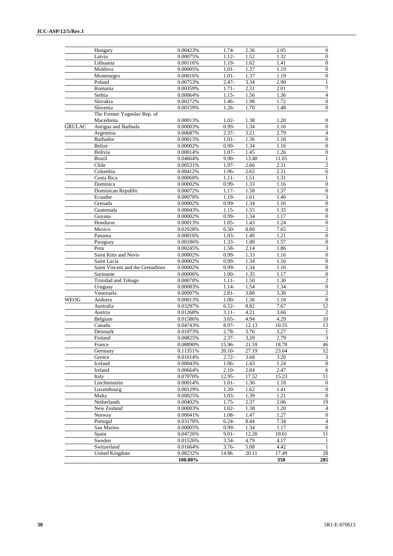|               | Hungary                          | 0.00423%             | 1.74-                | 2.36         | 2.05              | $\boldsymbol{0}$                   |
|---------------|----------------------------------|----------------------|----------------------|--------------|-------------------|------------------------------------|
|               | Latvia                           | 0.00075%             | $1.12 -$             | 1.52         | 1.32              | $\overline{0}$                     |
|               | Lithuania                        | 0.00116%             | $1.19-$              | 1.62         | $\overline{1.41}$ | $\overline{0}$                     |
|               | Moldova                          | 0.00005%             | $1.01 -$             | 1.37         | 1.19              | $\boldsymbol{0}$                   |
|               | Montenegro                       | 0.00016%             | $1.01 -$             | 1.37         | 1.19              | $\overline{0}$                     |
|               | Poland                           | 0.00753%             | $2.47 -$             | 3.34         | 2.90              | 1                                  |
|               | Romania                          | 0.00359%             | $1.71 -$             | 2.31         | 2.01              | $\overline{7}$                     |
|               | Serbia                           | 0.00064%             | $1.15-$              | 1.56         | 1.36              | $\overline{\mathbf{4}}$            |
|               | Slovakia                         | 0.00272%             | 1.46-                | 1.98         | 1.72              | $\overline{0}$                     |
|               | Slovenia                         | 0.00159%             | $1.26 -$             | 1.70         | 1.48              | $\overline{0}$                     |
|               | The Former Yugoslav Rep. of      |                      |                      |              |                   |                                    |
|               | Macedonia                        | 0.00013%             | $1.02 -$             | 1.38         | 1.20              | $\boldsymbol{0}$                   |
| <b>GRULAC</b> | Antigua and Barbuda              | 0.00003%             | $0.99 -$             | 1.34         | 1.16              | $\boldsymbol{0}$                   |
|               | Argentina                        | 0.00687%             | $2.37 -$             | 3.21         | 2.79              | $\overline{4}$                     |
|               | <b>Barbados</b>                  | 0.00013%             | $1.01 -$             | 1.36         | 1.18              | $\overline{0}$                     |
|               | Belize                           | 0.00002%             | $0.99 -$             | 1.34         | 1.16              | $\overline{0}$                     |
|               | Bolivia                          | 0.00014%             | $1.07 -$             | 1.45         | 1.26              | $\boldsymbol{0}$                   |
|               | <b>Brazil</b>                    | 0.04664%             | $9.90 -$             | 13.40        | 11.65             | $\mathbf{1}$                       |
|               | Chile                            | 0.00531%             | 1.97-                | 2.66         | 2.31              | $\overline{c}$                     |
|               | Colombia                         | 0.00412%             | 1.96-                | 2.65         | 2.31              | 6                                  |
|               | Costa Rica                       | 0.00060%             | $1.11 -$             | 1.51         | 1.31              | 1                                  |
|               | Dominica                         | 0.00002%             | $0.99 -$             | 1.33         | 1.16              | $\boldsymbol{0}$                   |
|               | Dominican Republic               | 0.00072%             | $1.17-$              | 1.58         | 1.37              | $\overline{0}$                     |
|               | Ecuador                          | 0.00070%             | $1.19-$              | 1.61         | 1.40              | 3                                  |
|               | Grenada                          | 0.00002%             | $0.99 -$             | 1.34         | 1.16              | $\boldsymbol{0}$                   |
|               | Guatemala                        | 0.00043%             | $1.15-$              | 1.55         | 1.35              | $\boldsymbol{0}$                   |
|               | Guyana                           | 0.00002%             | $0.99 -$             | 1.34         | 1.17              | $\boldsymbol{0}$                   |
|               | Honduras                         | 0.00013%             | $1.05 -$             | 1.43         | 1.24              | $\overline{0}$                     |
|               | Mexico                           | 0.02928%             | $6.50-$              | 8.80         | 7.65              | $\overline{2}$                     |
|               | Panama                           | 0.00016%             | $1.03 -$             | 1.40         | 1.21              | $\overline{0}$                     |
|               | Paraguay                         | 0.00186%             | $1.33-$              | 1.80         | 1.57              | $\overline{0}$                     |
|               | Peru                             | 0.00245%             | $1.58 -$<br>$0.99 -$ | 2.14         | 1.86<br>1.16      | 3<br>$\overline{0}$                |
|               | Saint Kitts and Nevis            | 0.00002%             | $0.99 -$             | 1.33<br>1.34 |                   |                                    |
|               | Saint Lucia                      | 0.00002%             |                      |              | 1.16              | $\boldsymbol{0}$<br>$\overline{0}$ |
|               | Saint Vincent and the Grenadines | 0.00002%             | $0.99 -$             | 1.34<br>1.35 | 1.16<br>1.17      | $\boldsymbol{0}$                   |
|               | Suriname<br>Trinidad and Tobago  | 0.00006%<br>0.00070% | $1.00-$<br>$1.11 -$  | 1.50         | 1.30              | $\overline{c}$                     |
|               | Uruguay                          | 0.00083%             | $1.14-$              | 1.54         | 1.34              | $\boldsymbol{0}$                   |
|               | Venezuela                        | 0.00997%             | $2.81 -$             | 3.80         | 3.30              | $\mathfrak{2}$                     |
| <b>WEOG</b>   | Andorra                          | 0.00013%             | $1.00 -$             | 1.36         | 1.18              | $\boldsymbol{0}$                   |
|               | Australia                        | 0.03297%             | $6.52 -$             | 8.82         | 7.67              | $\overline{12}$                    |
|               | Austria                          | 0.01268%             | $3.11 -$             | 4.21         | 3.66              | $\sqrt{2}$                         |
|               | Belgium                          | 0.01586%             | $3.65 -$             | 4.94         | 4.29              | $10\,$                             |
|               | Canada                           | 0.04743%             | $8.97 -$             | 12.13        | 10.55             | 13                                 |
|               | Denmark                          | 0.01073%             | $2.78 -$             | 3.76         | 3.27              | $\mathbf{1}$                       |
|               | Finland                          | 0.00825%             | $2.37 -$             | 3.20         | 2.79              | 3                                  |
|               | France                           | 0.08890%             | 15.96-               | 21.59        | 18.78             | 46                                 |
|               | Germany                          | 0.11351%             | $20.10-$             | 27.19        | 23.64             | $12\,$                             |
|               | Greece                           | 0.01014%             | $2.72 -$             | 3.68         | 3.20              | $\overline{\mathbf{3}}$            |
|               | Iceland                          | 0.00043%             | $1.06-$              | 1.43         | 1.24              | $\overline{0}$                     |
|               | Ireland                          | 0.00664%             | $2.10-$              | 2.84         | 2.47              | $\overline{6}$                     |
|               | Italy                            | 0.07070%             | 12.95-               | 17.52        | 15.23             | 11                                 |
|               | Liechtenstein                    | 0.00014%             | $1.01 -$             | 1.36         | 1.18              | $\mathbf{0}$                       |
|               | Luxembourg                       | 0.00129%             | $1.20 -$             | 1.62         | 1.41              | $\boldsymbol{0}$                   |
|               | Malta                            | 0.00025%             | $1.03 -$             | 1.39         | 1.21              | $\boldsymbol{0}$                   |
|               | Netherlands                      | 0.00402%             | $1.75-$              | 2.37         | 2.06              | 19                                 |
|               | New Zealand                      | 0.00003%             | $1.02 -$             | 1.38         | 1.20              | $\sqrt{4}$                         |
|               | Norway                           | 0.00041%             | $1.08 -$             | 1.47         | 1.27              | $\mathbf{0}$                       |
|               | Portugal                         | 0.03170%             | $6.24 -$             | 8.44         | 7.34              | $\overline{4}$                     |
|               | San Marino                       | 0.00005%             | $0.99 -$             | 1.34         | 1.17              | $\boldsymbol{0}$                   |
|               | Spain                            | 0.04726%             | $9.01 -$             | 12.20        | 10.61             | 11                                 |
|               | Sweden                           | 0.01526%             | $3.54-$              | 4.79         | 4.17              | $\mathbf{1}$                       |
|               | Switzerland                      | 0.01664%             | $3.76 -$             | 5.08         | 4.42              | $\mathbf{1}$                       |
|               | United Kingdom                   | 0.08232%             | 14.86                | 20.11        | 17.49             | $28\,$                             |
|               |                                  | 100.00%              |                      |              | 350               | 285                                |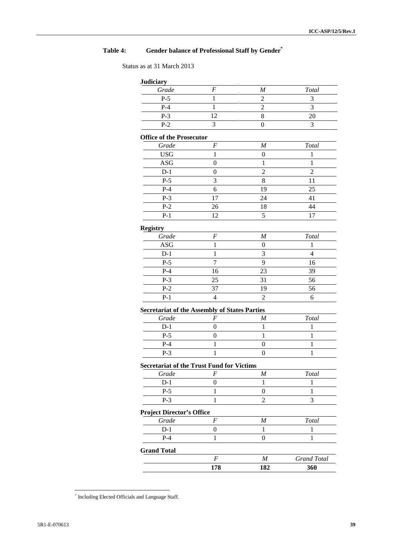# **Table 4: Gender balance of Professional Staff by Gender\***

Status as at 31 March 2013

| <b>Judiciary</b>                                     |                  |                  |                    |
|------------------------------------------------------|------------------|------------------|--------------------|
| Grade                                                | $\boldsymbol{F}$ | $\boldsymbol{M}$ | Total              |
| $P-5$                                                | 1                | $\overline{2}$   | 3                  |
| $P-4$                                                | $\mathbf{1}$     | $\overline{c}$   | $\overline{3}$     |
| $P-3$                                                | 12               | 8                | 20                 |
| $P-2$                                                | 3                | $\boldsymbol{0}$ | 3                  |
| <b>Office of the Prosecutor</b>                      |                  |                  |                    |
| Grade                                                | $\boldsymbol{F}$ | $\boldsymbol{M}$ | Total              |
| <b>USG</b>                                           | $\mathbf{1}$     | $\boldsymbol{0}$ | $\mathbf{1}$       |
| ASG                                                  | $\boldsymbol{0}$ | 1                | 1                  |
| $D-1$                                                | $\boldsymbol{0}$ | $\overline{c}$   | 2                  |
| $P-5$                                                | 3                | 8                | 11                 |
| $P-4$                                                | 6                | 19               | 25                 |
| $P-3$                                                | 17               | 24               | 41                 |
| $P-2$                                                | 26               | 18               | 44                 |
| $P-1$                                                | 12               | 5                | 17                 |
| <b>Registry</b>                                      |                  |                  |                    |
| Grade                                                | $\cal F$         | $\boldsymbol{M}$ | Total              |
| <b>ASG</b>                                           | 1                | $\boldsymbol{0}$ | $\mathbf{1}$       |
| $D-1$                                                | 1                | 3                | $\overline{4}$     |
| $P-5$                                                | 7                | 9                | 16                 |
| $P-4$                                                | 16               | 23               | 39                 |
| $P-3$                                                | 25               | 31               | 56                 |
| $P-2$                                                | 37               | 19               | 56                 |
| $P-1$                                                | $\overline{4}$   | 2                | 6                  |
| <b>Secretariat of the Assembly of States Parties</b> |                  |                  |                    |
| Grade                                                | F                | $\boldsymbol{M}$ | Total              |
| $D-1$                                                | $\boldsymbol{0}$ | 1                | 1                  |
| $P-5$                                                | $\boldsymbol{0}$ | $\mathbf{1}$     | $\mathbf{1}$       |
| $P-4$                                                | 1                | 0                | 1                  |
| $P-3$                                                | $\mathbf{1}$     | $\boldsymbol{0}$ | $\mathbf{1}$       |
| <b>Secretariat of the Trust Fund for Victims</b>     |                  |                  |                    |
| Grade                                                | $\cal F$         | $\boldsymbol{M}$ | Total              |
| $D-1$                                                | $\boldsymbol{0}$ | 1                | 1                  |
| $P-5$                                                | $\mathbf{1}$     | $\boldsymbol{0}$ | $\mathbf{1}$       |
| $P-3$                                                | $\mathbf{1}$     | $\overline{c}$   | 3                  |
| <b>Project Director's Office</b>                     |                  |                  |                    |
| Grade                                                | $\boldsymbol{F}$ | $\boldsymbol{M}$ | Total              |
| $D-1$                                                | $\boldsymbol{0}$ | $\mathbf{1}$     | 1                  |
| $P-4$                                                | $\mathbf{1}$     | $\boldsymbol{0}$ | 1                  |
| <b>Grand Total</b>                                   |                  |                  |                    |
|                                                      | $\cal F$         | $\boldsymbol{M}$ | <b>Grand Total</b> |
|                                                      | 178              | 182              | 360                |

<sup>\*</sup> Including Elected Officials and Language Staff.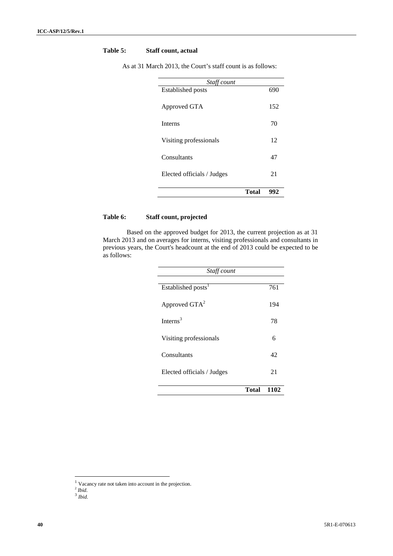| Table 5: | <b>Staff count, actual</b> |
|----------|----------------------------|
|----------|----------------------------|

| Staff count                |       |     |
|----------------------------|-------|-----|
| <b>Established posts</b>   |       | 690 |
| Approved GTA               |       | 152 |
| <b>Interns</b>             |       | 70  |
| Visiting professionals     |       | 12  |
| Consultants                |       | 47  |
| Elected officials / Judges |       | 21  |
|                            | Total | 992 |

As at 31 March 2013, the Court's staff count is as follows:

#### **Table 6: Staff count, projected**

Based on the approved budget for 2013, the current projection as at 31 March 2013 and on averages for interns, visiting professionals and consultants in previous years, the Court's headcount at the end of 2013 could be expected to be as follows:

| Staff count                    |              |      |  |
|--------------------------------|--------------|------|--|
| Established posts <sup>1</sup> |              | 761  |  |
| Approved $GTA^2$               |              | 194  |  |
| Interns $3$                    |              | 78   |  |
| Visiting professionals         |              | 6    |  |
| Consultants                    |              | 42   |  |
| Elected officials / Judges     |              | 21   |  |
|                                | <b>Total</b> | 1102 |  |

 $1$  Vacancy rate not taken into account in the projection.

 $\frac{2}{3}$  *Ibid.* 

*Ibid.*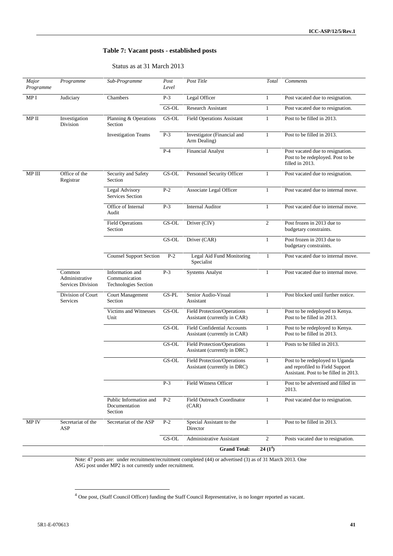#### **Table 7: Vacant posts - established posts**

#### Status as at 31 March 2013

| Major<br>Programme | Programme                                     | Sub-Programme                                                   | Post<br>Level | Post Title                                                         | Total          | Comments                                                                                                    |
|--------------------|-----------------------------------------------|-----------------------------------------------------------------|---------------|--------------------------------------------------------------------|----------------|-------------------------------------------------------------------------------------------------------------|
| MP I               | Judiciary                                     | Chambers                                                        | $P-3$         | Legal Officer                                                      | $\mathbf{1}$   | Post vacated due to resignation.                                                                            |
|                    |                                               |                                                                 | GS-OL         | <b>Research Assistant</b>                                          | $\mathbf{1}$   | Post vacated due to resignation.                                                                            |
| $MP$ II            | Investigation<br>Division                     | Planning & Operations<br>Section                                | GS-OL         | <b>Field Operations Assistant</b>                                  | $\mathbf{1}$   | Post to be filled in 2013.                                                                                  |
|                    |                                               | <b>Investigation Teams</b>                                      | $P-3$         | Investigator (Financial and<br>Arm Dealing)                        | $\mathbf{1}$   | Post to be filled in 2013.                                                                                  |
|                    |                                               |                                                                 | $P-4$         | <b>Financial Analyst</b>                                           | 1              | Post vacated due to resignation.<br>Post to be redeployed. Post to be<br>filled in 2013.                    |
| MP III             | Office of the<br>Registrar                    | Security and Safety<br>Section                                  | GS-OL         | Personnel Security Officer                                         | $\mathbf{1}$   | Post vacated due to resignation.                                                                            |
|                    |                                               | Legal Advisory<br><b>Services Section</b>                       | $P-2$         | <b>Associate Legal Officer</b>                                     | $\mathbf{1}$   | Post vacated due to internal move.                                                                          |
|                    |                                               | Office of Internal<br>Audit                                     | $P-3$         | <b>Internal Auditor</b>                                            | 1              | Post vacated due to internal move.                                                                          |
|                    |                                               | <b>Field Operations</b><br>Section                              | GS-OL         | Driver (CIV)                                                       | $\overline{2}$ | Post frozen in 2013 due to<br>budgetary constraints.                                                        |
|                    |                                               |                                                                 | GS-OL         | Driver (CAR)                                                       | $\mathbf{1}$   | Post frozen in 2013 due to<br>budgetary constraints.                                                        |
|                    |                                               | <b>Counsel Support Section</b>                                  | $P-2$         | Legal Aid Fund Monitoring<br>Specialist                            | $\mathbf{1}$   | Post vacated due to internal move.                                                                          |
|                    | Common<br>Administrative<br>Services Division | Information and<br>Communication<br><b>Technologies Section</b> | $P-3$         | <b>Systems Analyst</b>                                             | $\mathbf{1}$   | Post vacated due to internal move.                                                                          |
|                    | Division of Court<br><b>Services</b>          | Court Management<br>Section                                     | GS-PL         | Senior Audio-Visual<br>Assistant                                   | $\mathbf{1}$   | Post blocked until further notice.                                                                          |
|                    |                                               | Victims and Witnesses<br>Unit                                   | GS-OL         | <b>Field Protection/Operations</b><br>Assistant (currently in CAR) | $\mathbf{1}$   | Post to be redeployed to Kenya.<br>Post to be filled in 2013.                                               |
|                    |                                               |                                                                 | GS-OL         | <b>Field Confidential Accounts</b><br>Assistant (currently in CAR) | $\mathbf{1}$   | Post to be redeployed to Kenya.<br>Post to be filled in 2013.                                               |
|                    |                                               |                                                                 | GS-OL         | <b>Field Protection/Operations</b><br>Assistant (currently in DRC) | $\mathbf{1}$   | Posts to be filled in 2013.                                                                                 |
|                    |                                               |                                                                 | GS-OL         | Field Protection/Operations<br>Assistant (currently in DRC)        | $\mathbf{1}$   | Post to be redeployed to Uganda<br>and reprofiled to Field Support<br>Assistant. Post to be filled in 2013. |
|                    |                                               |                                                                 | $P-3$         | Field Witness Officer                                              | $\mathbf{1}$   | Post to be advertised and filled in<br>2013.                                                                |
|                    |                                               | Public Information and<br>Documentation<br>Section              | $P-2$         | <b>Field Outreach Coordinator</b><br>(CAR)                         | $\mathbf{1}$   | Post vacated due to resignation.                                                                            |
| MP IV              | Secretariat of the<br>ASP                     | Secretariat of the ASP                                          | $P-2$         | Special Assistant to the<br>Director                               | $\mathbf{1}$   | Post to be filled in 2013.                                                                                  |
|                    |                                               |                                                                 | GS-OL         | <b>Administrative Assistant</b>                                    | $\overline{2}$ | Posts vacated due to resignation.                                                                           |
|                    |                                               |                                                                 |               | <b>Grand Total:</b>                                                | $24(1^4)$      |                                                                                                             |

Note: 47 posts are: under recruitment/recruitment completed (44) or advertised (3) as of 31 March 2013. One ASG post under MP2 is not currently under recruitment.

<sup>4</sup> One post, (Staff Council Officer) funding the Staff Council Representative, is no longer reported as vacant.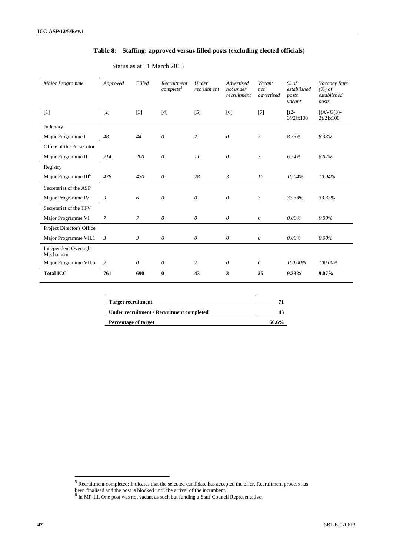#### **Table 8: Staffing: approved versus filled posts (excluding elected officials)**

| Major Programme                           | Approved       | Filled         | Recruitment<br>complete <sup>5</sup> | Under<br>recruitment  | Advertised<br>not under<br>recruitment | Vacant<br>not<br>advertised | % of<br>established<br>posts<br>vacant | Vacancy Rate<br>(%) of<br>established<br>posts |
|-------------------------------------------|----------------|----------------|--------------------------------------|-----------------------|----------------------------------------|-----------------------------|----------------------------------------|------------------------------------------------|
| $[1]$                                     | $[2]$          | $[3]$          | $[4]$                                | [5]                   | [6]                                    | [7]                         | $\lceil$ (2-<br>$3)/2$ ]x100           | $[(AVG(3)-$<br>$2)/2$ ]x100                    |
| Judiciary                                 |                |                |                                      |                       |                                        |                             |                                        |                                                |
| Major Programme I                         | 48             | 44             | $\theta$                             | 2                     | $\theta$                               | $\overline{c}$              | 8.33%                                  | 8.33%                                          |
| Office of the Prosecutor                  |                |                |                                      |                       |                                        |                             |                                        |                                                |
| Major Programme II                        | 214            | 200            | $\theta$                             | 11                    | $\theta$                               | 3                           | 6.54%                                  | 6.07%                                          |
| Registry                                  |                |                |                                      |                       |                                        |                             |                                        |                                                |
| Major Programme III <sup>6</sup>          | 478            | 430            | $\theta$                             | 28                    | $\mathfrak{Z}$                         | 17                          | 10.04%                                 | 10.04%                                         |
| Secretariat of the ASP                    |                |                |                                      |                       |                                        |                             |                                        |                                                |
| Major Programme IV                        | 9              | 6              | 0                                    | $\theta$              | $\theta$                               | $\mathfrak{Z}$              | 33.33%                                 | 33.33%                                         |
| Secretariat of the TFV                    |                |                |                                      |                       |                                        |                             |                                        |                                                |
| Major Programme VI                        | $\overline{7}$ | $\overline{7}$ | $\theta$                             | $\boldsymbol{\theta}$ | $\theta$                               | $\theta$                    | $0.00\%$                               | $0.00\%$                                       |
| Project Director's Office                 |                |                |                                      |                       |                                        |                             |                                        |                                                |
| Major Programme VII.1                     | $\mathfrak{Z}$ | 3              | $\theta$                             | $\theta$              | $\theta$                               | 0                           | $0.00\%$                               | $0.00\%$                                       |
| <b>Independent Oversight</b><br>Mechanism |                |                |                                      |                       |                                        |                             |                                        |                                                |
| Major Programme VII.5                     | 2              | $\theta$       | 0                                    | $\overline{c}$        | $\theta$                               | $\theta$                    | 100.00%                                | 100.00%                                        |
| <b>Total ICC</b>                          | 761            | 690            | $\mathbf{0}$                         | 43                    | 3                                      | 25                          | 9.33%                                  | $9.07\%$                                       |

#### Status as at 31 March 2013

| <b>Target recruitment</b>                 | 71    |
|-------------------------------------------|-------|
| Under recruitment / Recruitment completed |       |
| Percentage of target                      | 60.6% |

 $<sup>5</sup>$  Recruitment completed: Indicates that the selected candidate has accepted the offer. Recruitment process has</sup>

been finalised and the post is blocked until the arrival of the incumbent.<br><sup>6</sup> In MP-III, One post was not vacant as such but funding a Staff Council Representative.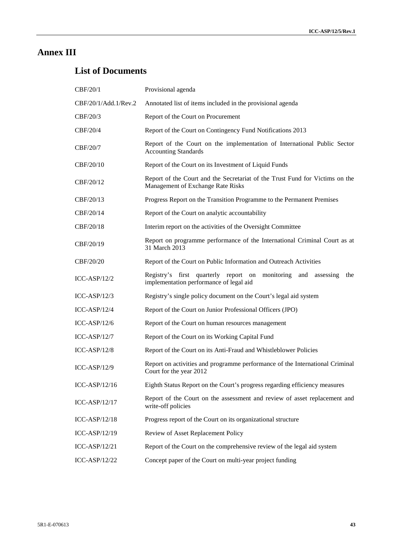# **Annex III**

# **List of Documents**

| CBF/20/1             | Provisional agenda                                                                                                    |
|----------------------|-----------------------------------------------------------------------------------------------------------------------|
| CBF/20/1/Add.1/Rev.2 | Annotated list of items included in the provisional agenda                                                            |
| CBF/20/3             | Report of the Court on Procurement                                                                                    |
| CBF/20/4             | Report of the Court on Contingency Fund Notifications 2013                                                            |
| CBF/20/7             | Report of the Court on the implementation of International Public Sector<br><b>Accounting Standards</b>               |
| CBF/20/10            | Report of the Court on its Investment of Liquid Funds                                                                 |
| CBF/20/12            | Report of the Court and the Secretariat of the Trust Fund for Victims on the<br>Management of Exchange Rate Risks     |
| CBF/20/13            | Progress Report on the Transition Programme to the Permanent Premises                                                 |
| CBF/20/14            | Report of the Court on analytic accountability                                                                        |
| CBF/20/18            | Interim report on the activities of the Oversight Committee                                                           |
| CBF/20/19            | Report on programme performance of the International Criminal Court as at<br>31 March 2013                            |
| CBF/20/20            | Report of the Court on Public Information and Outreach Activities                                                     |
| $ICC-ASP/12/2$       | Registry's first quarterly report on monitoring<br>and<br>assessing<br>the<br>implementation performance of legal aid |
| $ICC-ASP/12/3$       | Registry's single policy document on the Court's legal aid system                                                     |
| $ICC-ASP/12/4$       | Report of the Court on Junior Professional Officers (JPO)                                                             |
| $ICC-ASP/12/6$       | Report of the Court on human resources management                                                                     |
| $ICC-ASP/12/7$       | Report of the Court on its Working Capital Fund                                                                       |
| $ICC-ASP/12/8$       | Report of the Court on its Anti-Fraud and Whistleblower Policies                                                      |
| <b>ICC-ASP/12/9</b>  | Report on activities and programme performance of the International Criminal<br>Court for the year 2012               |
| ICC-ASP/12/16        | Eighth Status Report on the Court's progress regarding efficiency measures                                            |
| ICC-ASP/12/17        | Report of the Court on the assessment and review of asset replacement and<br>write-off policies                       |
| ICC-ASP/12/18        | Progress report of the Court on its organizational structure                                                          |
| ICC-ASP/12/19        | Review of Asset Replacement Policy                                                                                    |
| ICC-ASP/12/21        | Report of the Court on the comprehensive review of the legal aid system                                               |
| ICC-ASP/12/22        | Concept paper of the Court on multi-year project funding                                                              |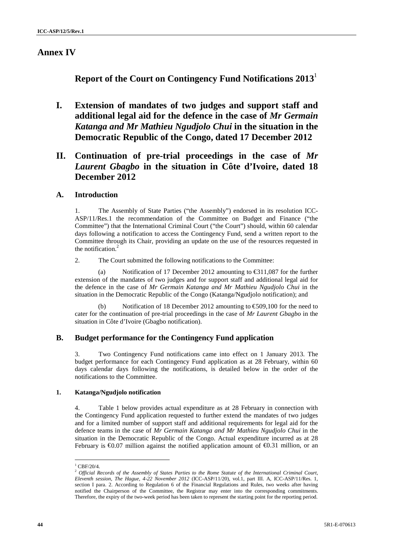### **Annex IV**

**Report of the Court on Contingency Fund Notifications 2013**<sup>1</sup>

**I. Extension of mandates of two judges and support staff and additional legal aid for the defence in the case of** *Mr Germain Katanga and Mr Mathieu Ngudjolo Chui* **in the situation in the Democratic Republic of the Congo, dated 17 December 2012**

# **II. Continuation of pre-trial proceedings in the case of** *Mr Laurent Gbagbo* **in the situation in Côte d'Ivoire, dated 18 December 2012**

### **A. Introduction**

1. The Assembly of State Parties ("the Assembly") endorsed in its resolution ICC- ASP/11/Res.1 the recommendation of the Committee on Budget and Finance ("the Committee") that the International Criminal Court ("the Court") should, within 60 calendar days following a notification to access the Contingency Fund, send a written report to the Committee through its Chair, providing an update on the use of the resources requested in the notification.<sup>2</sup>

2. The Court submitted the following notifications to the Committee:

(a) Notification of 17 December 2012 amounting to  $\epsilon$  311,087 for the further extension of the mandates of two judges and for support staff and additional legal aid for the defence in the case of *Mr Germain Katanga and Mr Mathieu Ngudjolo Chui* in the situation in the Democratic Republic of the Congo (Katanga/Ngudjolo notification); and

(b) Notification of 18 December 2012 amounting to  $\epsilon$ 509,100 for the need to cater for the continuation of pre-trial proceedings in the case of *Mr Laurent Gbagbo* in the situation in Côte d'Ivoire (Gbagbo notification).

### **B. Budget performance for the Contingency Fund application**

3. Two Contingency Fund notifications came into effect on 1 January 2013. The budget performance for each Contingency Fund application as at 28 February, within 60 days calendar days following the notifications, is detailed below in the order of the notifications to the Committee.

#### **1. Katanga/Ngudjolo notification**

4. Table 1 below provides actual expenditure as at 28 February in connection with the Contingency Fund application requested to further extend the mandates of two judges and for a limited number of support staff and additional requirements for legal aid for the defence teams in the case of *Mr Germain Katanga and Mr Mathieu Ngudjolo Chui* in the situation in the Democratic Republic of the Congo. Actual expenditure incurred as at 28 February is  $\Theta$ ,07 million against the notified application amount of  $\Theta$ ,31 million, or an

 $^{1}$  CBF/20/4.

<sup>2</sup> *Official Records of the Assembly of States Parties to the Rome Statute of the International Criminal Court, Eleventh session, The Hague, 4-22 November 2012* (ICC-ASP/11/20), vol.1, part III. A, ICC-ASP/11/Res. 1, section I para. 2. According to Regulation 6 of the Financial Regulations and Rules, two weeks after having notified the Chairperson of the Committee, the Registrar may enter into the corresponding commitments. Therefore, the expiry of the two-week period has been taken to represent the starting point for the reporting period.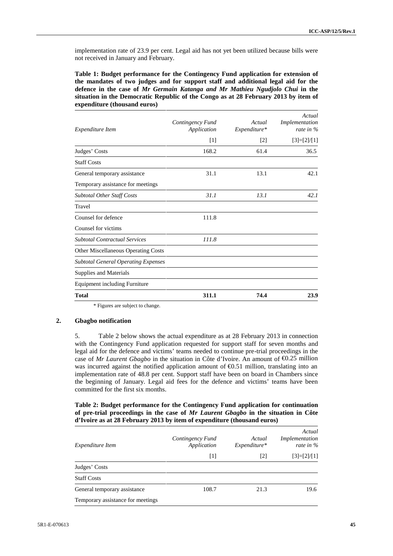implementation rate of 23.9 per cent. Legal aid has not yet been utilized because bills were not received in January and February.

**Table 1: Budget performance for the Contingency Fund application for extension of the mandates of two judges and for support staff and additional legal aid for the defence in the case of** *Mr Germain Katanga and Mr Mathieu Ngudjolo Chui* **in the situation in the Democratic Republic of the Congo as at 28 February 2013 by item of expenditure (thousand euros)**

| Expenditure Item                           | Contingency Fund<br>Application | Actual<br>Expenditure* | Actual<br>Implementation<br>rate in $\%$ |
|--------------------------------------------|---------------------------------|------------------------|------------------------------------------|
|                                            | $[1]$                           | $[2]$                  | $[3]=[2]/[1]$                            |
| Judges' Costs                              | 168.2                           | 61.4                   | 36.5                                     |
| <b>Staff Costs</b>                         |                                 |                        |                                          |
| General temporary assistance               | 31.1                            | 13.1                   | 42.1                                     |
| Temporary assistance for meetings          |                                 |                        |                                          |
| Subtotal Other Staff Costs                 | 31.1                            | 13.1                   | 42.1                                     |
| Travel                                     |                                 |                        |                                          |
| Counsel for defence                        | 111.8                           |                        |                                          |
| Counsel for victims                        |                                 |                        |                                          |
| <b>Subtotal Contractual Services</b>       | 111.8                           |                        |                                          |
| Other Miscellaneous Operating Costs        |                                 |                        |                                          |
| <b>Subtotal General Operating Expenses</b> |                                 |                        |                                          |
| <b>Supplies and Materials</b>              |                                 |                        |                                          |
| <b>Equipment including Furniture</b>       |                                 |                        |                                          |
| Total                                      | 311.1                           | 74.4                   | 23.9                                     |

\* Figures are subject to change.

#### **2. Gbagbo notification**

5. Table 2 below shows the actual expenditure as at 28 February 2013 in connection with the Contingency Fund application requested for support staff for seven months and legal aid for the defence and victims' teams needed to continue pre-trial proceedings in the case of *Mr Laurent Gbagbo* in the situation in Côte d'Ivoire. An amount of €0.25 million was incurred against the notified application amount of  $E$ 60.51 million, translating into an implementation rate of 48.8 per cent. Support staff have been on board in Chambers since the beginning of January. Legal aid fees for the defence and victims' teams have been committed for the first six months.

#### **Table 2: Budget performance for the Contingency Fund application for continuation of pre-trial proceedings in the case of** *Mr Laurent Gbagbo* **in the situation in Côte d'Ivoire as at 28 February 2013 by item of expenditure (thousand euros)**

| Expenditure Item                  | Contingency Fund<br>Application | Actual<br>$Expenditure*$ | Actual<br>Implementation<br>rate in $\%$ |
|-----------------------------------|---------------------------------|--------------------------|------------------------------------------|
|                                   | $[1]$                           | $\lceil 2 \rceil$        | $[3]=[2]/[1]$                            |
| Judges' Costs                     |                                 |                          |                                          |
| <b>Staff Costs</b>                |                                 |                          |                                          |
| General temporary assistance      | 108.7                           | 21.3                     | 19.6                                     |
| Temporary assistance for meetings |                                 |                          |                                          |